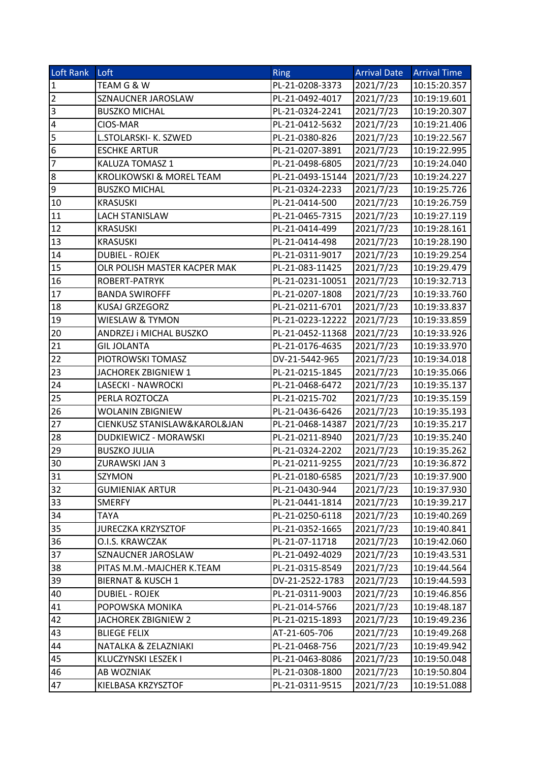| Loft Rank       | Loft                         | <b>Ring</b>      | <b>Arrival Date</b> | <b>Arrival Time</b> |
|-----------------|------------------------------|------------------|---------------------|---------------------|
| $\overline{1}$  | TEAM G & W                   | PL-21-0208-3373  | 2021/7/23           | 10:15:20.357        |
| $\overline{2}$  | SZNAUCNER JAROSLAW           | PL-21-0492-4017  | 2021/7/23           | 10:19:19.601        |
| $\overline{3}$  | <b>BUSZKO MICHAL</b>         | PL-21-0324-2241  | 2021/7/23           | 10:19:20.307        |
| $\overline{4}$  | CIOS-MAR                     | PL-21-0412-5632  | 2021/7/23           | 10:19:21.406        |
| $\overline{5}$  | L.STOLARSKI- K. SZWED        | PL-21-0380-826   | 2021/7/23           | 10:19:22.567        |
| $\overline{6}$  | <b>ESCHKE ARTUR</b>          | PL-21-0207-3891  | 2021/7/23           | 10:19:22.995        |
| $\overline{7}$  | KALUZA TOMASZ 1              | PL-21-0498-6805  | 2021/7/23           | 10:19:24.040        |
| 8               | KROLIKOWSKI & MOREL TEAM     | PL-21-0493-15144 | 2021/7/23           | 10:19:24.227        |
| $\overline{9}$  | <b>BUSZKO MICHAL</b>         | PL-21-0324-2233  | 2021/7/23           | 10:19:25.726        |
| 10              | <b>KRASUSKI</b>              | PL-21-0414-500   | 2021/7/23           | 10:19:26.759        |
| 11              | LACH STANISLAW               | PL-21-0465-7315  | 2021/7/23           | 10:19:27.119        |
| 12              | <b>KRASUSKI</b>              | PL-21-0414-499   | 2021/7/23           | 10:19:28.161        |
| 13              | <b>KRASUSKI</b>              | PL-21-0414-498   | 2021/7/23           | 10:19:28.190        |
| 14              | <b>DUBIEL - ROJEK</b>        | PL-21-0311-9017  | 2021/7/23           | 10:19:29.254        |
| 15              | OLR POLISH MASTER KACPER MAK | PL-21-083-11425  | 2021/7/23           | 10:19:29.479        |
| 16              | ROBERT-PATRYK                | PL-21-0231-10051 | 2021/7/23           | 10:19:32.713        |
| 17              | <b>BANDA SWIROFFF</b>        | PL-21-0207-1808  | 2021/7/23           | 10:19:33.760        |
| 18              | KUSAJ GRZEGORZ               | PL-21-0211-6701  | 2021/7/23           | 10:19:33.837        |
| 19              | WIESLAW & TYMON              | PL-21-0223-12222 | 2021/7/23           | 10:19:33.859        |
| 20              | ANDRZEJ i MICHAL BUSZKO      | PL-21-0452-11368 | 2021/7/23           | 10:19:33.926        |
| 21              | <b>GIL JOLANTA</b>           | PL-21-0176-4635  | 2021/7/23           | 10:19:33.970        |
| $\overline{22}$ | PIOTROWSKI TOMASZ            | DV-21-5442-965   | 2021/7/23           | 10:19:34.018        |
| 23              | JACHOREK ZBIGNIEW 1          | PL-21-0215-1845  | 2021/7/23           | 10:19:35.066        |
| 24              | LASECKI - NAWROCKI           | PL-21-0468-6472  | 2021/7/23           | 10:19:35.137        |
| 25              | PERLA ROZTOCZA               | PL-21-0215-702   | 2021/7/23           | 10:19:35.159        |
| 26              | WOLANIN ZBIGNIEW             | PL-21-0436-6426  | 2021/7/23           | 10:19:35.193        |
| $\overline{27}$ | CIENKUSZ STANISLAW&KAROL&JAN | PL-21-0468-14387 | 2021/7/23           | 10:19:35.217        |
| 28              | DUDKIEWICZ - MORAWSKI        | PL-21-0211-8940  | 2021/7/23           | 10:19:35.240        |
| 29              | <b>BUSZKO JULIA</b>          | PL-21-0324-2202  | 2021/7/23           | 10:19:35.262        |
| 30              | ZURAWSKI JAN 3               | PL-21-0211-9255  | 2021/7/23           | 10:19:36.872        |
| 31              | SZYMON                       | PL-21-0180-6585  | 2021/7/23           | 10:19:37.900        |
| 32              | <b>GUMIENIAK ARTUR</b>       | PL-21-0430-944   | 2021/7/23           | 10:19:37.930        |
| 33              | <b>SMERFY</b>                | PL-21-0441-1814  | 2021/7/23           | 10:19:39.217        |
| $\overline{3}4$ | <b>TAYA</b>                  | PL-21-0250-6118  | 2021/7/23           | 10:19:40.269        |
| 35              | <b>JURECZKA KRZYSZTOF</b>    | PL-21-0352-1665  | 2021/7/23           | 10:19:40.841        |
| 36              | O.I.S. KRAWCZAK              | PL-21-07-11718   | 2021/7/23           | 10:19:42.060        |
| $\overline{3}7$ | SZNAUCNER JAROSLAW           | PL-21-0492-4029  | 2021/7/23           | 10:19:43.531        |
| 38              | PITAS M.M.-MAJCHER K.TEAM    | PL-21-0315-8549  | 2021/7/23           | 10:19:44.564        |
| 39              | <b>BIERNAT &amp; KUSCH 1</b> | DV-21-2522-1783  | 2021/7/23           | 10:19:44.593        |
| 40              | <b>DUBIEL - ROJEK</b>        | PL-21-0311-9003  | 2021/7/23           | 10:19:46.856        |
| 41              | POPOWSKA MONIKA              | PL-21-014-5766   | 2021/7/23           | 10:19:48.187        |
| 42              | JACHOREK ZBIGNIEW 2          | PL-21-0215-1893  | 2021/7/23           | 10:19:49.236        |
| 43              | <b>BLIEGE FELIX</b>          | AT-21-605-706    | 2021/7/23           | 10:19:49.268        |
| $\overline{44}$ | NATALKA & ZELAZNIAKI         | PL-21-0468-756   | 2021/7/23           | 10:19:49.942        |
| 45              | KLUCZYNSKI LESZEK I          | PL-21-0463-8086  | 2021/7/23           | 10:19:50.048        |
| 46              | AB WOZNIAK                   | PL-21-0308-1800  | 2021/7/23           | 10:19:50.804        |
| $\overline{4}$  | KIELBASA KRZYSZTOF           | PL-21-0311-9515  | 2021/7/23           | 10:19:51.088        |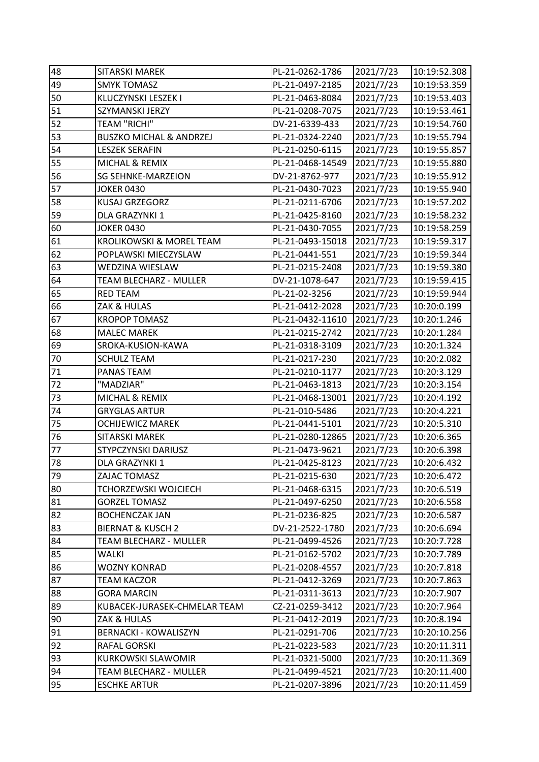| 48 | SITARSKI MAREK                     | PL-21-0262-1786  | 2021/7/23 | 10:19:52.308 |
|----|------------------------------------|------------------|-----------|--------------|
| 49 | <b>SMYK TOMASZ</b>                 | PL-21-0497-2185  | 2021/7/23 | 10:19:53.359 |
| 50 | KLUCZYNSKI LESZEK I                | PL-21-0463-8084  | 2021/7/23 | 10:19:53.403 |
| 51 | SZYMANSKI JERZY                    | PL-21-0208-7075  | 2021/7/23 | 10:19:53.461 |
| 52 | <b>TEAM "RICHI"</b>                | DV-21-6339-433   | 2021/7/23 | 10:19:54.760 |
| 53 | <b>BUSZKO MICHAL &amp; ANDRZEJ</b> | PL-21-0324-2240  | 2021/7/23 | 10:19:55.794 |
| 54 | <b>LESZEK SERAFIN</b>              | PL-21-0250-6115  | 2021/7/23 | 10:19:55.857 |
| 55 | MICHAL & REMIX                     | PL-21-0468-14549 | 2021/7/23 | 10:19:55.880 |
| 56 | <b>SG SEHNKE-MARZEION</b>          | DV-21-8762-977   | 2021/7/23 | 10:19:55.912 |
| 57 | <b>JOKER 0430</b>                  | PL-21-0430-7023  | 2021/7/23 | 10:19:55.940 |
| 58 | KUSAJ GRZEGORZ                     | PL-21-0211-6706  | 2021/7/23 | 10:19:57.202 |
| 59 | DLA GRAZYNKI 1                     | PL-21-0425-8160  | 2021/7/23 | 10:19:58.232 |
| 60 | <b>JOKER 0430</b>                  | PL-21-0430-7055  | 2021/7/23 | 10:19:58.259 |
| 61 | KROLIKOWSKI & MOREL TEAM           | PL-21-0493-15018 | 2021/7/23 | 10:19:59.317 |
| 62 | POPLAWSKI MIECZYSLAW               | PL-21-0441-551   | 2021/7/23 | 10:19:59.344 |
| 63 | WEDZINA WIESLAW                    | PL-21-0215-2408  | 2021/7/23 | 10:19:59.380 |
| 64 | TEAM BLECHARZ - MULLER             | DV-21-1078-647   | 2021/7/23 | 10:19:59.415 |
| 65 | <b>RED TEAM</b>                    | PL-21-02-3256    | 2021/7/23 | 10:19:59.944 |
| 66 | ZAK & HULAS                        | PL-21-0412-2028  | 2021/7/23 | 10:20:0.199  |
| 67 | <b>KROPOP TOMASZ</b>               | PL-21-0432-11610 | 2021/7/23 | 10:20:1.246  |
| 68 | <b>MALEC MAREK</b>                 | PL-21-0215-2742  | 2021/7/23 | 10:20:1.284  |
| 69 | SROKA-KUSION-KAWA                  | PL-21-0318-3109  | 2021/7/23 | 10:20:1.324  |
| 70 | <b>SCHULZ TEAM</b>                 | PL-21-0217-230   | 2021/7/23 | 10:20:2.082  |
| 71 | PANAS TEAM                         | PL-21-0210-1177  | 2021/7/23 | 10:20:3.129  |
| 72 | "MADZIAR"                          | PL-21-0463-1813  | 2021/7/23 | 10:20:3.154  |
| 73 | MICHAL & REMIX                     | PL-21-0468-13001 | 2021/7/23 | 10:20:4.192  |
| 74 | <b>GRYGLAS ARTUR</b>               | PL-21-010-5486   | 2021/7/23 | 10:20:4.221  |
| 75 | <b>OCHIJEWICZ MAREK</b>            | PL-21-0441-5101  | 2021/7/23 | 10:20:5.310  |
| 76 | SITARSKI MAREK                     | PL-21-0280-12865 | 2021/7/23 | 10:20:6.365  |
| 77 | STYPCZYNSKI DARIUSZ                | PL-21-0473-9621  | 2021/7/23 | 10:20:6.398  |
| 78 | DLA GRAZYNKI 1                     | PL-21-0425-8123  | 2021/7/23 | 10:20:6.432  |
| 79 | ZAJAC TOMASZ                       | PL-21-0215-630   | 2021/7/23 | 10:20:6.472  |
| 80 | <b>TCHORZEWSKI WOJCIECH</b>        | PL-21-0468-6315  | 2021/7/23 | 10:20:6.519  |
| 81 | <b>GORZEL TOMASZ</b>               | PL-21-0497-6250  | 2021/7/23 | 10:20:6.558  |
| 82 | <b>BOCHENCZAK JAN</b>              | PL-21-0236-825   | 2021/7/23 | 10:20:6.587  |
| 83 | <b>BIERNAT &amp; KUSCH 2</b>       | DV-21-2522-1780  | 2021/7/23 | 10:20:6.694  |
| 84 | TEAM BLECHARZ - MULLER             | PL-21-0499-4526  | 2021/7/23 | 10:20:7.728  |
| 85 | WALKI                              | PL-21-0162-5702  | 2021/7/23 | 10:20:7.789  |
| 86 | <b>WOZNY KONRAD</b>                | PL-21-0208-4557  | 2021/7/23 | 10:20:7.818  |
| 87 | <b>TEAM KACZOR</b>                 | PL-21-0412-3269  | 2021/7/23 | 10:20:7.863  |
| 88 | <b>GORA MARCIN</b>                 | PL-21-0311-3613  | 2021/7/23 | 10:20:7.907  |
| 89 | KUBACEK-JURASEK-CHMELAR TEAM       | CZ-21-0259-3412  | 2021/7/23 | 10:20:7.964  |
| 90 | ZAK & HULAS                        | PL-21-0412-2019  | 2021/7/23 | 10:20:8.194  |
| 91 | <b>BERNACKI - KOWALISZYN</b>       | PL-21-0291-706   | 2021/7/23 | 10:20:10.256 |
| 92 | <b>RAFAL GORSKI</b>                | PL-21-0223-583   | 2021/7/23 | 10:20:11.311 |
| 93 | <b>KURKOWSKI SLAWOMIR</b>          | PL-21-0321-5000  | 2021/7/23 | 10:20:11.369 |
| 94 | TEAM BLECHARZ - MULLER             | PL-21-0499-4521  | 2021/7/23 | 10:20:11.400 |
| 95 | <b>ESCHKE ARTUR</b>                | PL-21-0207-3896  | 2021/7/23 | 10:20:11.459 |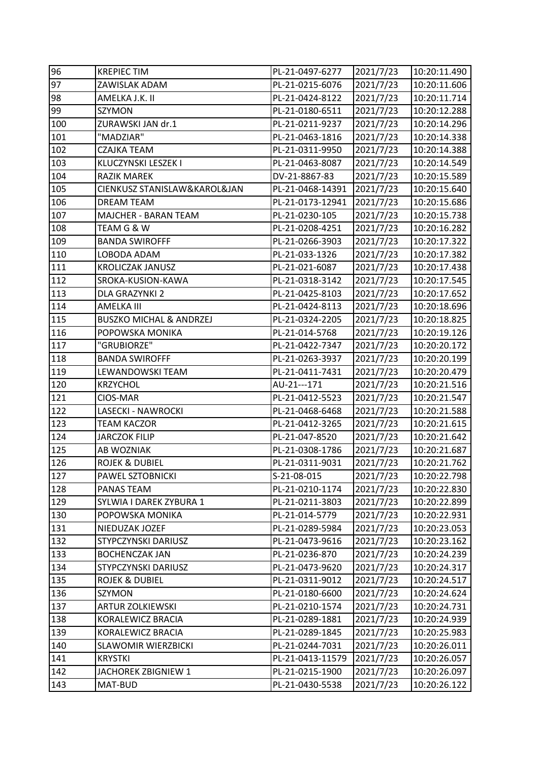| 96  | <b>KREPIECTIM</b>                  | PL-21-0497-6277  | 2021/7/23 | 10:20:11.490 |
|-----|------------------------------------|------------------|-----------|--------------|
| 97  | ZAWISLAK ADAM                      | PL-21-0215-6076  | 2021/7/23 | 10:20:11.606 |
| 98  | AMELKA J.K. II                     | PL-21-0424-8122  | 2021/7/23 | 10:20:11.714 |
| 99  | <b>SZYMON</b>                      | PL-21-0180-6511  | 2021/7/23 | 10:20:12.288 |
| 100 | ZURAWSKI JAN dr.1                  | PL-21-0211-9237  | 2021/7/23 | 10:20:14.296 |
| 101 | "MADZIAR"                          | PL-21-0463-1816  | 2021/7/23 | 10:20:14.338 |
| 102 | CZAJKA TEAM                        | PL-21-0311-9950  | 2021/7/23 | 10:20:14.388 |
| 103 | KLUCZYNSKI LESZEK I                | PL-21-0463-8087  | 2021/7/23 | 10:20:14.549 |
| 104 | <b>RAZIK MAREK</b>                 | DV-21-8867-83    | 2021/7/23 | 10:20:15.589 |
| 105 | CIENKUSZ STANISLAW&KAROL&JAN       | PL-21-0468-14391 | 2021/7/23 | 10:20:15.640 |
| 106 | <b>DREAM TEAM</b>                  | PL-21-0173-12941 | 2021/7/23 | 10:20:15.686 |
| 107 | <b>MAJCHER - BARAN TEAM</b>        | PL-21-0230-105   | 2021/7/23 | 10:20:15.738 |
| 108 | TEAM G & W                         | PL-21-0208-4251  | 2021/7/23 | 10:20:16.282 |
| 109 | <b>BANDA SWIROFFF</b>              | PL-21-0266-3903  | 2021/7/23 | 10:20:17.322 |
| 110 | LOBODA ADAM                        | PL-21-033-1326   | 2021/7/23 | 10:20:17.382 |
| 111 | <b>KROLICZAK JANUSZ</b>            | PL-21-021-6087   | 2021/7/23 | 10:20:17.438 |
| 112 | SROKA-KUSION-KAWA                  | PL-21-0318-3142  | 2021/7/23 | 10:20:17.545 |
| 113 | DLA GRAZYNKI 2                     | PL-21-0425-8103  | 2021/7/23 | 10:20:17.652 |
| 114 | <b>AMELKA III</b>                  | PL-21-0424-8113  | 2021/7/23 | 10:20:18.696 |
| 115 | <b>BUSZKO MICHAL &amp; ANDRZEJ</b> | PL-21-0324-2205  | 2021/7/23 | 10:20:18.825 |
| 116 | POPOWSKA MONIKA                    | PL-21-014-5768   | 2021/7/23 | 10:20:19.126 |
| 117 | "GRUBIORZE"                        | PL-21-0422-7347  | 2021/7/23 | 10:20:20.172 |
| 118 | <b>BANDA SWIROFFF</b>              | PL-21-0263-3937  | 2021/7/23 | 10:20:20.199 |
| 119 | LEWANDOWSKI TEAM                   | PL-21-0411-7431  | 2021/7/23 | 10:20:20.479 |
| 120 | <b>KRZYCHOL</b>                    | AU-21---171      | 2021/7/23 | 10:20:21.516 |
| 121 | CIOS-MAR                           | PL-21-0412-5523  | 2021/7/23 | 10:20:21.547 |
| 122 | LASECKI - NAWROCKI                 | PL-21-0468-6468  | 2021/7/23 | 10:20:21.588 |
| 123 | TEAM KACZOR                        | PL-21-0412-3265  | 2021/7/23 | 10:20:21.615 |
| 124 | <b>JARCZOK FILIP</b>               | PL-21-047-8520   | 2021/7/23 | 10:20:21.642 |
| 125 | AB WOZNIAK                         | PL-21-0308-1786  | 2021/7/23 | 10:20:21.687 |
| 126 | <b>ROJEK &amp; DUBIEL</b>          | PL-21-0311-9031  | 2021/7/23 | 10:20:21.762 |
| 127 | PAWEL SZTOBNICKI                   | S-21-08-015      | 2021/7/23 | 10:20:22.798 |
| 128 | PANAS TEAM                         | PL-21-0210-1174  | 2021/7/23 | 10:20:22.830 |
| 129 | SYLWIA I DAREK ZYBURA 1            | PL-21-0211-3803  | 2021/7/23 | 10:20:22.899 |
| 130 | POPOWSKA MONIKA                    | PL-21-014-5779   | 2021/7/23 | 10:20:22.931 |
| 131 | NIEDUZAK JOZEF                     | PL-21-0289-5984  | 2021/7/23 | 10:20:23.053 |
| 132 | STYPCZYNSKI DARIUSZ                | PL-21-0473-9616  | 2021/7/23 | 10:20:23.162 |
| 133 | <b>BOCHENCZAK JAN</b>              | PL-21-0236-870   | 2021/7/23 | 10:20:24.239 |
| 134 | STYPCZYNSKI DARIUSZ                | PL-21-0473-9620  | 2021/7/23 | 10:20:24.317 |
| 135 | <b>ROJEK &amp; DUBIEL</b>          | PL-21-0311-9012  | 2021/7/23 | 10:20:24.517 |
| 136 | SZYMON                             | PL-21-0180-6600  | 2021/7/23 | 10:20:24.624 |
| 137 | <b>ARTUR ZOLKIEWSKI</b>            | PL-21-0210-1574  | 2021/7/23 | 10:20:24.731 |
| 138 | KORALEWICZ BRACIA                  | PL-21-0289-1881  | 2021/7/23 | 10:20:24.939 |
| 139 | KORALEWICZ BRACIA                  | PL-21-0289-1845  | 2021/7/23 | 10:20:25.983 |
| 140 | <b>SLAWOMIR WIERZBICKI</b>         | PL-21-0244-7031  | 2021/7/23 | 10:20:26.011 |
| 141 | <b>KRYSTKI</b>                     | PL-21-0413-11579 | 2021/7/23 | 10:20:26.057 |
| 142 | JACHOREK ZBIGNIEW 1                | PL-21-0215-1900  | 2021/7/23 | 10:20:26.097 |
| 143 | MAT-BUD                            | PL-21-0430-5538  | 2021/7/23 | 10:20:26.122 |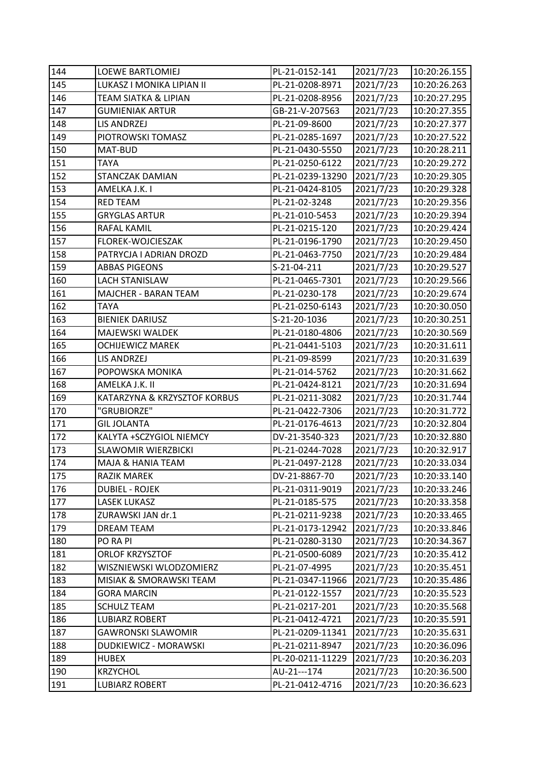| 144 | <b>LOEWE BARTLOMIEJ</b>         | PL-21-0152-141   | 2021/7/23 | 10:20:26.155 |
|-----|---------------------------------|------------------|-----------|--------------|
| 145 | LUKASZ I MONIKA LIPIAN II       | PL-21-0208-8971  | 2021/7/23 | 10:20:26.263 |
| 146 | <b>TEAM SIATKA &amp; LIPIAN</b> | PL-21-0208-8956  | 2021/7/23 | 10:20:27.295 |
| 147 | <b>GUMIENIAK ARTUR</b>          | GB-21-V-207563   | 2021/7/23 | 10:20:27.355 |
| 148 | LIS ANDRZEJ                     | PL-21-09-8600    | 2021/7/23 | 10:20:27.377 |
| 149 | PIOTROWSKI TOMASZ               | PL-21-0285-1697  | 2021/7/23 | 10:20:27.522 |
| 150 | MAT-BUD                         | PL-21-0430-5550  | 2021/7/23 | 10:20:28.211 |
| 151 | TAYA                            | PL-21-0250-6122  | 2021/7/23 | 10:20:29.272 |
| 152 | STANCZAK DAMIAN                 | PL-21-0239-13290 | 2021/7/23 | 10:20:29.305 |
| 153 | AMELKA J.K. I                   | PL-21-0424-8105  | 2021/7/23 | 10:20:29.328 |
| 154 | <b>RED TEAM</b>                 | PL-21-02-3248    | 2021/7/23 | 10:20:29.356 |
| 155 | <b>GRYGLAS ARTUR</b>            | PL-21-010-5453   | 2021/7/23 | 10:20:29.394 |
| 156 | RAFAL KAMIL                     | PL-21-0215-120   | 2021/7/23 | 10:20:29.424 |
| 157 | FLOREK-WOJCIESZAK               | PL-21-0196-1790  | 2021/7/23 | 10:20:29.450 |
| 158 | PATRYCJA I ADRIAN DROZD         | PL-21-0463-7750  | 2021/7/23 | 10:20:29.484 |
| 159 | <b>ABBAS PIGEONS</b>            | S-21-04-211      | 2021/7/23 | 10:20:29.527 |
| 160 | <b>LACH STANISLAW</b>           | PL-21-0465-7301  | 2021/7/23 | 10:20:29.566 |
| 161 | MAJCHER - BARAN TEAM            | PL-21-0230-178   | 2021/7/23 | 10:20:29.674 |
| 162 | <b>TAYA</b>                     | PL-21-0250-6143  | 2021/7/23 | 10:20:30.050 |
| 163 | <b>BIENIEK DARIUSZ</b>          | S-21-20-1036     | 2021/7/23 | 10:20:30.251 |
| 164 | MAJEWSKI WALDEK                 | PL-21-0180-4806  | 2021/7/23 | 10:20:30.569 |
| 165 | <b>OCHIJEWICZ MAREK</b>         | PL-21-0441-5103  | 2021/7/23 | 10:20:31.611 |
| 166 | LIS ANDRZEJ                     | PL-21-09-8599    | 2021/7/23 | 10:20:31.639 |
| 167 | POPOWSKA MONIKA                 | PL-21-014-5762   | 2021/7/23 | 10:20:31.662 |
| 168 | AMELKA J.K. II                  | PL-21-0424-8121  | 2021/7/23 | 10:20:31.694 |
| 169 | KATARZYNA & KRZYSZTOF KORBUS    | PL-21-0211-3082  | 2021/7/23 | 10:20:31.744 |
| 170 | "GRUBIORZE"                     | PL-21-0422-7306  | 2021/7/23 | 10:20:31.772 |
| 171 | <b>GIL JOLANTA</b>              | PL-21-0176-4613  | 2021/7/23 | 10:20:32.804 |
| 172 | KALYTA +SCZYGIOL NIEMCY         | DV-21-3540-323   | 2021/7/23 | 10:20:32.880 |
| 173 | <b>SLAWOMIR WIERZBICKI</b>      | PL-21-0244-7028  | 2021/7/23 | 10:20:32.917 |
| 174 | MAJA & HANIA TEAM               | PL-21-0497-2128  | 2021/7/23 | 10:20:33.034 |
| 175 | RAZIK MAREK                     | DV-21-8867-70    | 2021/7/23 | 10:20:33.140 |
| 176 | <b>DUBIEL - ROJEK</b>           | PL-21-0311-9019  | 2021/7/23 | 10:20:33.246 |
| 177 | <b>LASEK LUKASZ</b>             | PL-21-0185-575   | 2021/7/23 | 10:20:33.358 |
| 178 | ZURAWSKI JAN dr.1               | PL-21-0211-9238  | 2021/7/23 | 10:20:33.465 |
| 179 | <b>DREAM TEAM</b>               | PL-21-0173-12942 | 2021/7/23 | 10:20:33.846 |
| 180 | PO RA PI                        | PL-21-0280-3130  | 2021/7/23 | 10:20:34.367 |
| 181 | <b>ORLOF KRZYSZTOF</b>          | PL-21-0500-6089  | 2021/7/23 | 10:20:35.412 |
| 182 | WISZNIEWSKI WLODZOMIERZ         | PL-21-07-4995    | 2021/7/23 | 10:20:35.451 |
| 183 | MISIAK & SMORAWSKI TEAM         | PL-21-0347-11966 | 2021/7/23 | 10:20:35.486 |
| 184 | <b>GORA MARCIN</b>              | PL-21-0122-1557  | 2021/7/23 | 10:20:35.523 |
| 185 | <b>SCHULZ TEAM</b>              | PL-21-0217-201   | 2021/7/23 | 10:20:35.568 |
| 186 | <b>LUBIARZ ROBERT</b>           | PL-21-0412-4721  | 2021/7/23 | 10:20:35.591 |
| 187 | <b>GAWRONSKI SLAWOMIR</b>       | PL-21-0209-11341 | 2021/7/23 | 10:20:35.631 |
| 188 | DUDKIEWICZ - MORAWSKI           | PL-21-0211-8947  | 2021/7/23 | 10:20:36.096 |
| 189 | <b>HUBEX</b>                    | PL-20-0211-11229 | 2021/7/23 | 10:20:36.203 |
| 190 | <b>KRZYCHOL</b>                 | AU-21---174      | 2021/7/23 | 10:20:36.500 |
|     |                                 |                  |           |              |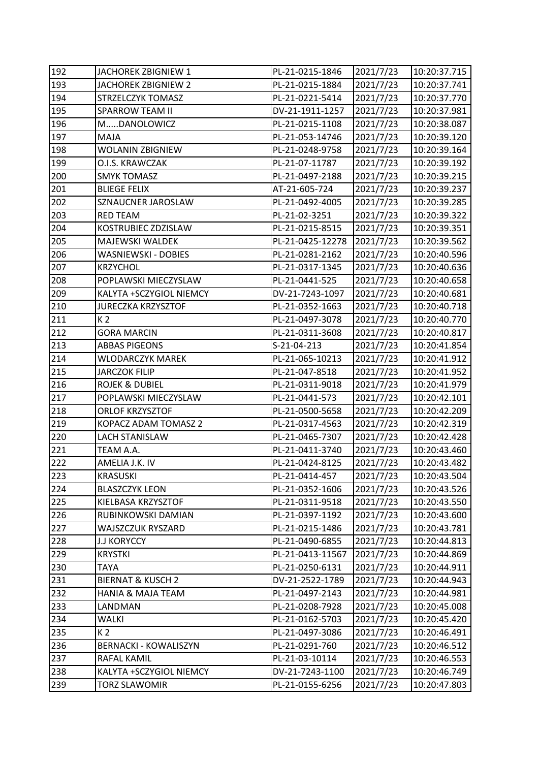| 192 | JACHOREK ZBIGNIEW 1          | PL-21-0215-1846  | 2021/7/23 | 10:20:37.715 |
|-----|------------------------------|------------------|-----------|--------------|
| 193 | <b>JACHOREK ZBIGNIEW 2</b>   | PL-21-0215-1884  | 2021/7/23 | 10:20:37.741 |
| 194 | STRZELCZYK TOMASZ            | PL-21-0221-5414  | 2021/7/23 | 10:20:37.770 |
| 195 | <b>SPARROW TEAM II</b>       | DV-21-1911-1257  | 2021/7/23 | 10:20:37.981 |
| 196 | MDANOLOWICZ                  | PL-21-0215-1108  | 2021/7/23 | 10:20:38.087 |
| 197 | MAJA                         | PL-21-053-14746  | 2021/7/23 | 10:20:39.120 |
| 198 | <b>WOLANIN ZBIGNIEW</b>      | PL-21-0248-9758  | 2021/7/23 | 10:20:39.164 |
| 199 | O.I.S. KRAWCZAK              | PL-21-07-11787   | 2021/7/23 | 10:20:39.192 |
| 200 | <b>SMYK TOMASZ</b>           | PL-21-0497-2188  | 2021/7/23 | 10:20:39.215 |
| 201 | <b>BLIEGE FELIX</b>          | AT-21-605-724    | 2021/7/23 | 10:20:39.237 |
| 202 | SZNAUCNER JAROSLAW           | PL-21-0492-4005  | 2021/7/23 | 10:20:39.285 |
| 203 | <b>RED TEAM</b>              | PL-21-02-3251    | 2021/7/23 | 10:20:39.322 |
| 204 | KOSTRUBIEC ZDZISLAW          | PL-21-0215-8515  | 2021/7/23 | 10:20:39.351 |
| 205 | MAJEWSKI WALDEK              | PL-21-0425-12278 | 2021/7/23 | 10:20:39.562 |
| 206 | WASNIEWSKI - DOBIES          | PL-21-0281-2162  | 2021/7/23 | 10:20:40.596 |
| 207 | <b>KRZYCHOL</b>              | PL-21-0317-1345  | 2021/7/23 | 10:20:40.636 |
| 208 | POPLAWSKI MIECZYSLAW         | PL-21-0441-525   | 2021/7/23 | 10:20:40.658 |
| 209 | KALYTA +SCZYGIOL NIEMCY      | DV-21-7243-1097  | 2021/7/23 | 10:20:40.681 |
| 210 | <b>JURECZKA KRZYSZTOF</b>    | PL-21-0352-1663  | 2021/7/23 | 10:20:40.718 |
| 211 | K <sub>2</sub>               | PL-21-0497-3078  | 2021/7/23 | 10:20:40.770 |
| 212 | <b>GORA MARCIN</b>           | PL-21-0311-3608  | 2021/7/23 | 10:20:40.817 |
| 213 | <b>ABBAS PIGEONS</b>         | S-21-04-213      | 2021/7/23 | 10:20:41.854 |
| 214 | <b>WLODARCZYK MAREK</b>      | PL-21-065-10213  | 2021/7/23 | 10:20:41.912 |
| 215 | <b>JARCZOK FILIP</b>         | PL-21-047-8518   | 2021/7/23 | 10:20:41.952 |
| 216 | <b>ROJEK &amp; DUBIEL</b>    | PL-21-0311-9018  | 2021/7/23 | 10:20:41.979 |
| 217 | POPLAWSKI MIECZYSLAW         | PL-21-0441-573   | 2021/7/23 | 10:20:42.101 |
| 218 | ORLOF KRZYSZTOF              | PL-21-0500-5658  | 2021/7/23 | 10:20:42.209 |
| 219 | KOPACZ ADAM TOMASZ 2         | PL-21-0317-4563  | 2021/7/23 | 10:20:42.319 |
| 220 | <b>LACH STANISLAW</b>        | PL-21-0465-7307  | 2021/7/23 | 10:20:42.428 |
| 221 | TEAM A.A.                    | PL-21-0411-3740  | 2021/7/23 | 10:20:43.460 |
| 222 | AMELIA J.K. IV               | PL-21-0424-8125  | 2021/7/23 | 10:20:43.482 |
| 223 | <b>KRASUSKI</b>              | PL-21-0414-457   | 2021/7/23 | 10:20:43.504 |
| 224 | <b>BLASZCZYK LEON</b>        | PL-21-0352-1606  | 2021/7/23 | 10:20:43.526 |
| 225 | KIELBASA KRZYSZTOF           | PL-21-0311-9518  | 2021/7/23 | 10:20:43.550 |
| 226 | RUBINKOWSKI DAMIAN           | PL-21-0397-1192  | 2021/7/23 | 10:20:43.600 |
| 227 | <b>WAJSZCZUK RYSZARD</b>     | PL-21-0215-1486  | 2021/7/23 | 10:20:43.781 |
| 228 | <b>J.J KORYCCY</b>           | PL-21-0490-6855  | 2021/7/23 | 10:20:44.813 |
| 229 | <b>KRYSTKI</b>               | PL-21-0413-11567 | 2021/7/23 | 10:20:44.869 |
| 230 | <b>TAYA</b>                  | PL-21-0250-6131  | 2021/7/23 | 10:20:44.911 |
| 231 | <b>BIERNAT &amp; KUSCH 2</b> | DV-21-2522-1789  | 2021/7/23 | 10:20:44.943 |
| 232 | <b>HANIA &amp; MAJA TEAM</b> | PL-21-0497-2143  | 2021/7/23 | 10:20:44.981 |
| 233 | LANDMAN                      | PL-21-0208-7928  | 2021/7/23 | 10:20:45.008 |
| 234 | WALKI                        | PL-21-0162-5703  | 2021/7/23 | 10:20:45.420 |
| 235 | K 2                          | PL-21-0497-3086  | 2021/7/23 | 10:20:46.491 |
| 236 | <b>BERNACKI - KOWALISZYN</b> | PL-21-0291-760   | 2021/7/23 | 10:20:46.512 |
| 237 | RAFAL KAMIL                  | PL-21-03-10114   | 2021/7/23 | 10:20:46.553 |
| 238 | KALYTA +SCZYGIOL NIEMCY      | DV-21-7243-1100  | 2021/7/23 | 10:20:46.749 |
| 239 | <b>TORZ SLAWOMIR</b>         | PL-21-0155-6256  | 2021/7/23 | 10:20:47.803 |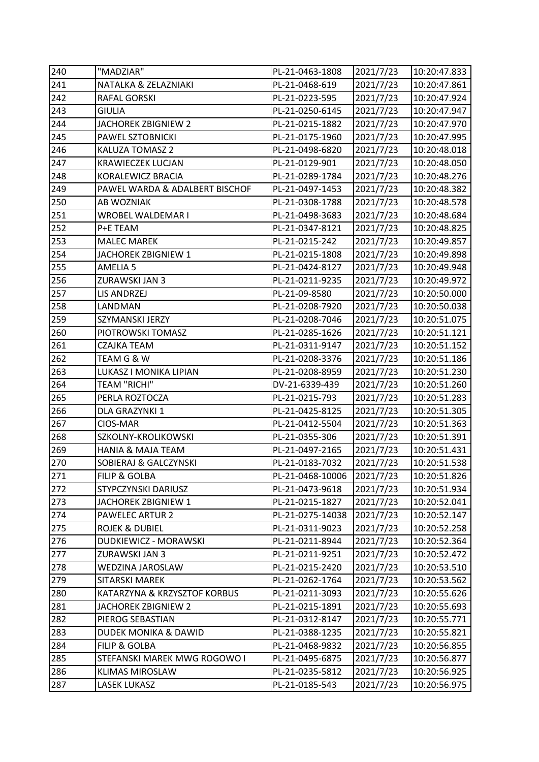| 240 | "MADZIAR"                        | PL-21-0463-1808  | 2021/7/23 | 10:20:47.833 |
|-----|----------------------------------|------------------|-----------|--------------|
| 241 | NATALKA & ZELAZNIAKI             | PL-21-0468-619   | 2021/7/23 | 10:20:47.861 |
| 242 | RAFAL GORSKI                     | PL-21-0223-595   | 2021/7/23 | 10:20:47.924 |
| 243 | <b>GIULIA</b>                    | PL-21-0250-6145  | 2021/7/23 | 10:20:47.947 |
| 244 | JACHOREK ZBIGNIEW 2              | PL-21-0215-1882  | 2021/7/23 | 10:20:47.970 |
| 245 | PAWEL SZTOBNICKI                 | PL-21-0175-1960  | 2021/7/23 | 10:20:47.995 |
| 246 | KALUZA TOMASZ 2                  | PL-21-0498-6820  | 2021/7/23 | 10:20:48.018 |
| 247 | <b>KRAWIECZEK LUCJAN</b>         | PL-21-0129-901   | 2021/7/23 | 10:20:48.050 |
| 248 | KORALEWICZ BRACIA                | PL-21-0289-1784  | 2021/7/23 | 10:20:48.276 |
| 249 | PAWEL WARDA & ADALBERT BISCHOF   | PL-21-0497-1453  | 2021/7/23 | 10:20:48.382 |
| 250 | AB WOZNIAK                       | PL-21-0308-1788  | 2021/7/23 | 10:20:48.578 |
| 251 | WROBEL WALDEMAR I                | PL-21-0498-3683  | 2021/7/23 | 10:20:48.684 |
| 252 | P+E TEAM                         | PL-21-0347-8121  | 2021/7/23 | 10:20:48.825 |
| 253 | <b>MALEC MAREK</b>               | PL-21-0215-242   | 2021/7/23 | 10:20:49.857 |
| 254 | JACHOREK ZBIGNIEW 1              | PL-21-0215-1808  | 2021/7/23 | 10:20:49.898 |
| 255 | AMELIA <sub>5</sub>              | PL-21-0424-8127  | 2021/7/23 | 10:20:49.948 |
| 256 | ZURAWSKI JAN 3                   | PL-21-0211-9235  | 2021/7/23 | 10:20:49.972 |
| 257 | <b>LIS ANDRZEJ</b>               | PL-21-09-8580    | 2021/7/23 | 10:20:50.000 |
| 258 | LANDMAN                          | PL-21-0208-7920  | 2021/7/23 | 10:20:50.038 |
| 259 | SZYMANSKI JERZY                  | PL-21-0208-7046  | 2021/7/23 | 10:20:51.075 |
| 260 | PIOTROWSKI TOMASZ                | PL-21-0285-1626  | 2021/7/23 | 10:20:51.121 |
| 261 | CZAJKA TEAM                      | PL-21-0311-9147  | 2021/7/23 | 10:20:51.152 |
| 262 | TEAM G & W                       | PL-21-0208-3376  | 2021/7/23 | 10:20:51.186 |
| 263 | LUKASZ I MONIKA LIPIAN           | PL-21-0208-8959  | 2021/7/23 | 10:20:51.230 |
| 264 | <b>TEAM "RICHI"</b>              | DV-21-6339-439   | 2021/7/23 | 10:20:51.260 |
| 265 | PERLA ROZTOCZA                   | PL-21-0215-793   | 2021/7/23 | 10:20:51.283 |
| 266 | DLA GRAZYNKI 1                   | PL-21-0425-8125  | 2021/7/23 | 10:20:51.305 |
| 267 | CIOS-MAR                         | PL-21-0412-5504  | 2021/7/23 | 10:20:51.363 |
| 268 | SZKOLNY-KROLIKOWSKI              | PL-21-0355-306   | 2021/7/23 | 10:20:51.391 |
| 269 | <b>HANIA &amp; MAJA TEAM</b>     | PL-21-0497-2165  | 2021/7/23 | 10:20:51.431 |
| 270 | <b>SOBIERAJ &amp; GALCZYNSKI</b> | PL-21-0183-7032  | 2021/7/23 | 10:20:51.538 |
| 271 | <b>FILIP &amp; GOLBA</b>         | PL-21-0468-10006 | 2021/7/23 | 10:20:51.826 |
| 272 | STYPCZYNSKI DARIUSZ              | PL-21-0473-9618  | 2021/7/23 | 10:20:51.934 |
| 273 | JACHOREK ZBIGNIEW 1              | PL-21-0215-1827  | 2021/7/23 | 10:20:52.041 |
| 274 | <b>PAWELEC ARTUR 2</b>           | PL-21-0275-14038 | 2021/7/23 | 10:20:52.147 |
| 275 | <b>ROJEK &amp; DUBIEL</b>        | PL-21-0311-9023  | 2021/7/23 | 10:20:52.258 |
| 276 | DUDKIEWICZ - MORAWSKI            | PL-21-0211-8944  | 2021/7/23 | 10:20:52.364 |
| 277 | ZURAWSKI JAN 3                   | PL-21-0211-9251  | 2021/7/23 | 10:20:52.472 |
| 278 | WEDZINA JAROSLAW                 | PL-21-0215-2420  | 2021/7/23 | 10:20:53.510 |
| 279 | SITARSKI MAREK                   | PL-21-0262-1764  | 2021/7/23 | 10:20:53.562 |
| 280 | KATARZYNA & KRZYSZTOF KORBUS     | PL-21-0211-3093  | 2021/7/23 | 10:20:55.626 |
| 281 | JACHOREK ZBIGNIEW 2              | PL-21-0215-1891  | 2021/7/23 | 10:20:55.693 |
| 282 | PIEROG SEBASTIAN                 | PL-21-0312-8147  | 2021/7/23 | 10:20:55.771 |
| 283 | DUDEK MONIKA & DAWID             | PL-21-0388-1235  | 2021/7/23 | 10:20:55.821 |
| 284 | FILIP & GOLBA                    | PL-21-0468-9832  | 2021/7/23 | 10:20:56.855 |
| 285 | STEFANSKI MAREK MWG ROGOWO I     | PL-21-0495-6875  | 2021/7/23 | 10:20:56.877 |
| 286 | KLIMAS MIROSLAW                  | PL-21-0235-5812  | 2021/7/23 | 10:20:56.925 |
| 287 | LASEK LUKASZ                     | PL-21-0185-543   | 2021/7/23 | 10:20:56.975 |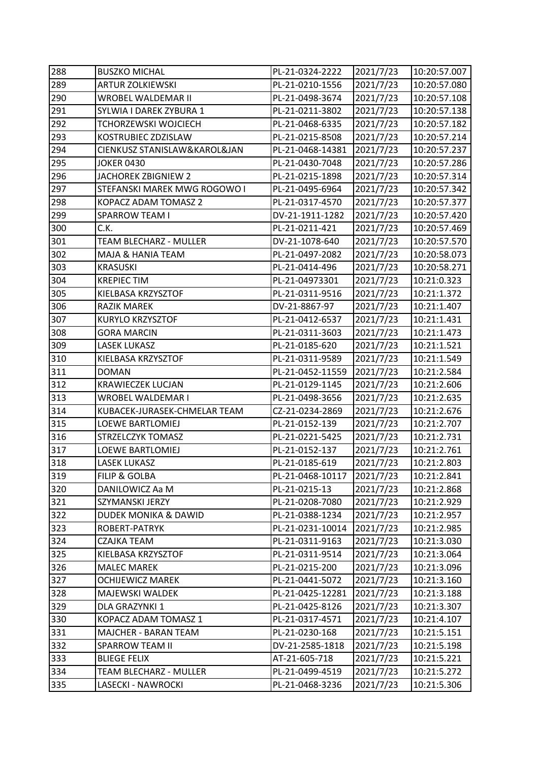| 288 | <b>BUSZKO MICHAL</b>         | PL-21-0324-2222  | 2021/7/23 | 10:20:57.007 |
|-----|------------------------------|------------------|-----------|--------------|
| 289 | <b>ARTUR ZOLKIEWSKI</b>      | PL-21-0210-1556  | 2021/7/23 | 10:20:57.080 |
| 290 | WROBEL WALDEMAR II           | PL-21-0498-3674  | 2021/7/23 | 10:20:57.108 |
| 291 | SYLWIA I DAREK ZYBURA 1      | PL-21-0211-3802  | 2021/7/23 | 10:20:57.138 |
| 292 | TCHORZEWSKI WOJCIECH         | PL-21-0468-6335  | 2021/7/23 | 10:20:57.182 |
| 293 | KOSTRUBIEC ZDZISLAW          | PL-21-0215-8508  | 2021/7/23 | 10:20:57.214 |
| 294 | CIENKUSZ STANISLAW&KAROL&JAN | PL-21-0468-14381 | 2021/7/23 | 10:20:57.237 |
| 295 | <b>JOKER 0430</b>            | PL-21-0430-7048  | 2021/7/23 | 10:20:57.286 |
| 296 | JACHOREK ZBIGNIEW 2          | PL-21-0215-1898  | 2021/7/23 | 10:20:57.314 |
| 297 | STEFANSKI MAREK MWG ROGOWO I | PL-21-0495-6964  | 2021/7/23 | 10:20:57.342 |
| 298 | KOPACZ ADAM TOMASZ 2         | PL-21-0317-4570  | 2021/7/23 | 10:20:57.377 |
| 299 | <b>SPARROW TEAM I</b>        | DV-21-1911-1282  | 2021/7/23 | 10:20:57.420 |
| 300 | C.K.                         | PL-21-0211-421   | 2021/7/23 | 10:20:57.469 |
| 301 | TEAM BLECHARZ - MULLER       | DV-21-1078-640   | 2021/7/23 | 10:20:57.570 |
| 302 | <b>MAJA &amp; HANIA TEAM</b> | PL-21-0497-2082  | 2021/7/23 | 10:20:58.073 |
| 303 | <b>KRASUSKI</b>              | PL-21-0414-496   | 2021/7/23 | 10:20:58.271 |
| 304 | <b>KREPIECTIM</b>            | PL-21-04973301   | 2021/7/23 | 10:21:0.323  |
| 305 | KIELBASA KRZYSZTOF           | PL-21-0311-9516  | 2021/7/23 | 10:21:1.372  |
| 306 | <b>RAZIK MAREK</b>           | DV-21-8867-97    | 2021/7/23 | 10:21:1.407  |
| 307 | <b>KURYLO KRZYSZTOF</b>      | PL-21-0412-6537  | 2021/7/23 | 10:21:1.431  |
| 308 | <b>GORA MARCIN</b>           | PL-21-0311-3603  | 2021/7/23 | 10:21:1.473  |
| 309 | <b>LASEK LUKASZ</b>          | PL-21-0185-620   | 2021/7/23 | 10:21:1.521  |
| 310 | KIELBASA KRZYSZTOF           | PL-21-0311-9589  | 2021/7/23 | 10:21:1.549  |
| 311 | <b>DOMAN</b>                 | PL-21-0452-11559 | 2021/7/23 | 10:21:2.584  |
| 312 | <b>KRAWIECZEK LUCJAN</b>     | PL-21-0129-1145  | 2021/7/23 | 10:21:2.606  |
| 313 | WROBEL WALDEMAR I            | PL-21-0498-3656  | 2021/7/23 | 10:21:2.635  |
| 314 | KUBACEK-JURASEK-CHMELAR TEAM | CZ-21-0234-2869  | 2021/7/23 | 10:21:2.676  |
| 315 | LOEWE BARTLOMIEJ             | PL-21-0152-139   | 2021/7/23 | 10:21:2.707  |
| 316 | <b>STRZELCZYK TOMASZ</b>     | PL-21-0221-5425  | 2021/7/23 | 10:21:2.731  |
| 317 | <b>LOEWE BARTLOMIEJ</b>      | PL-21-0152-137   | 2021/7/23 | 10:21:2.761  |
| 318 | <b>LASEK LUKASZ</b>          | PL-21-0185-619   | 2021/7/23 | 10:21:2.803  |
| 319 | <b>FILIP &amp; GOLBA</b>     | PL-21-0468-10117 | 2021/7/23 | 10:21:2.841  |
| 320 | DANILOWICZ Aa M              | PL-21-0215-13    | 2021/7/23 | 10:21:2.868  |
| 321 | SZYMANSKI JERZY              | PL-21-0208-7080  | 2021/7/23 | 10:21:2.929  |
| 322 | DUDEK MONIKA & DAWID         | PL-21-0388-1234  | 2021/7/23 | 10:21:2.957  |
| 323 | ROBERT-PATRYK                | PL-21-0231-10014 | 2021/7/23 | 10:21:2.985  |
| 324 | CZAJKA TEAM                  | PL-21-0311-9163  | 2021/7/23 | 10:21:3.030  |
| 325 | KIELBASA KRZYSZTOF           | PL-21-0311-9514  | 2021/7/23 | 10:21:3.064  |
| 326 | <b>MALEC MAREK</b>           | PL-21-0215-200   | 2021/7/23 | 10:21:3.096  |
| 327 | <b>OCHIJEWICZ MAREK</b>      | PL-21-0441-5072  | 2021/7/23 | 10:21:3.160  |
| 328 | MAJEWSKI WALDEK              | PL-21-0425-12281 | 2021/7/23 | 10:21:3.188  |
| 329 | DLA GRAZYNKI 1               | PL-21-0425-8126  | 2021/7/23 | 10:21:3.307  |
| 330 | KOPACZ ADAM TOMASZ 1         | PL-21-0317-4571  | 2021/7/23 | 10:21:4.107  |
| 331 | <b>MAJCHER - BARAN TEAM</b>  | PL-21-0230-168   | 2021/7/23 | 10:21:5.151  |
| 332 | <b>SPARROW TEAM II</b>       | DV-21-2585-1818  | 2021/7/23 | 10:21:5.198  |
| 333 | <b>BLIEGE FELIX</b>          | AT-21-605-718    | 2021/7/23 | 10:21:5.221  |
| 334 | TEAM BLECHARZ - MULLER       | PL-21-0499-4519  | 2021/7/23 | 10:21:5.272  |
| 335 | LASECKI - NAWROCKI           | PL-21-0468-3236  | 2021/7/23 | 10:21:5.306  |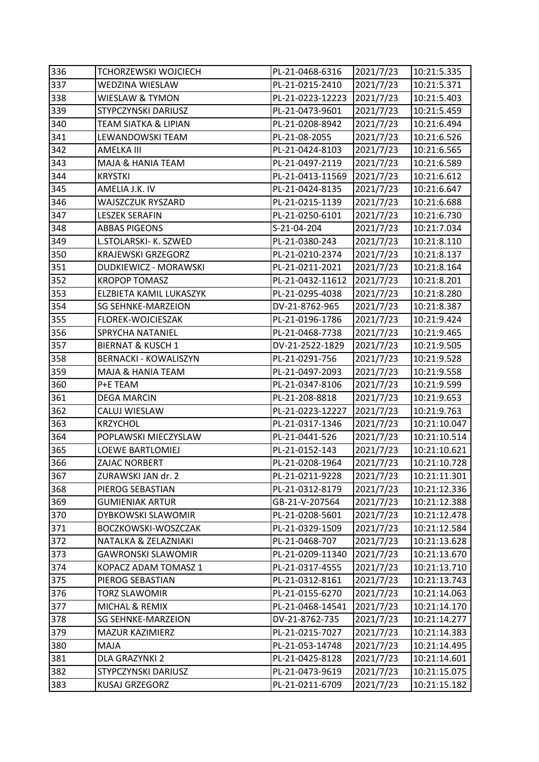| 336 | <b>TCHORZEWSKI WOJCIECH</b>  | PL-21-0468-6316  | 2021/7/23 | 10:21:5.335  |
|-----|------------------------------|------------------|-----------|--------------|
| 337 | <b>WEDZINA WIESLAW</b>       | PL-21-0215-2410  | 2021/7/23 | 10:21:5.371  |
| 338 | <b>WIESLAW &amp; TYMON</b>   | PL-21-0223-12223 | 2021/7/23 | 10:21:5.403  |
| 339 | <b>STYPCZYNSKI DARIUSZ</b>   | PL-21-0473-9601  | 2021/7/23 | 10:21:5.459  |
| 340 | TEAM SIATKA & LIPIAN         | PL-21-0208-8942  | 2021/7/23 | 10:21:6.494  |
| 341 | LEWANDOWSKI TEAM             | PL-21-08-2055    | 2021/7/23 | 10:21:6.526  |
| 342 | AMELKA III                   | PL-21-0424-8103  | 2021/7/23 | 10:21:6.565  |
| 343 | MAJA & HANIA TEAM            | PL-21-0497-2119  | 2021/7/23 | 10:21:6.589  |
| 344 | <b>KRYSTKI</b>               | PL-21-0413-11569 | 2021/7/23 | 10:21:6.612  |
| 345 | AMELIA J.K. IV               | PL-21-0424-8135  | 2021/7/23 | 10:21:6.647  |
| 346 | WAJSZCZUK RYSZARD            | PL-21-0215-1139  | 2021/7/23 | 10:21:6.688  |
| 347 | <b>LESZEK SERAFIN</b>        | PL-21-0250-6101  | 2021/7/23 | 10:21:6.730  |
| 348 | <b>ABBAS PIGEONS</b>         | S-21-04-204      | 2021/7/23 | 10:21:7.034  |
| 349 | L.STOLARSKI- K. SZWED        | PL-21-0380-243   | 2021/7/23 | 10:21:8.110  |
| 350 | <b>KRAJEWSKI GRZEGORZ</b>    | PL-21-0210-2374  | 2021/7/23 | 10:21:8.137  |
| 351 | <b>DUDKIEWICZ - MORAWSKI</b> | PL-21-0211-2021  | 2021/7/23 | 10:21:8.164  |
| 352 | <b>KROPOP TOMASZ</b>         | PL-21-0432-11612 | 2021/7/23 | 10:21:8.201  |
| 353 | ELZBIETA KAMIL LUKASZYK      | PL-21-0295-4038  | 2021/7/23 | 10:21:8.280  |
| 354 | <b>SG SEHNKE-MARZEION</b>    | DV-21-8762-965   | 2021/7/23 | 10:21:8.387  |
| 355 | FLOREK-WOJCIESZAK            | PL-21-0196-1786  | 2021/7/23 | 10:21:9.424  |
| 356 | SPRYCHA NATANIEL             | PL-21-0468-7738  | 2021/7/23 | 10:21:9.465  |
| 357 | <b>BIERNAT &amp; KUSCH 1</b> | DV-21-2522-1829  | 2021/7/23 | 10:21:9.505  |
| 358 | <b>BERNACKI - KOWALISZYN</b> | PL-21-0291-756   | 2021/7/23 | 10:21:9.528  |
| 359 | MAJA & HANIA TEAM            | PL-21-0497-2093  | 2021/7/23 | 10:21:9.558  |
| 360 | P+E TEAM                     | PL-21-0347-8106  | 2021/7/23 | 10:21:9.599  |
| 361 | <b>DEGA MARCIN</b>           | PL-21-208-8818   | 2021/7/23 | 10:21:9.653  |
| 362 | CALUJ WIESLAW                | PL-21-0223-12227 | 2021/7/23 | 10:21:9.763  |
| 363 | <b>KRZYCHOL</b>              | PL-21-0317-1346  | 2021/7/23 | 10:21:10.047 |
| 364 | POPLAWSKI MIECZYSLAW         | PL-21-0441-526   | 2021/7/23 | 10:21:10.514 |
| 365 | <b>LOEWE BARTLOMIEJ</b>      | PL-21-0152-143   | 2021/7/23 | 10:21:10.621 |
| 366 | <b>ZAJAC NORBERT</b>         | PL-21-0208-1964  | 2021/7/23 | 10:21:10.728 |
| 367 | ZURAWSKI JAN dr. 2           | PL-21-0211-9228  | 2021/7/23 | 10:21:11.301 |
| 368 | PIEROG SEBASTIAN             | PL-21-0312-8179  | 2021/7/23 | 10:21:12.336 |
| 369 | <b>GUMIENIAK ARTUR</b>       | GB-21-V-207564   | 2021/7/23 | 10:21:12.388 |
| 370 | DYBKOWSKI SLAWOMIR           | PL-21-0208-5601  | 2021/7/23 | 10:21:12.478 |
| 371 | BOCZKOWSKI-WOSZCZAK          | PL-21-0329-1509  | 2021/7/23 | 10:21:12.584 |
| 372 | NATALKA & ZELAZNIAKI         | PL-21-0468-707   | 2021/7/23 | 10:21:13.628 |
| 373 | <b>GAWRONSKI SLAWOMIR</b>    | PL-21-0209-11340 | 2021/7/23 | 10:21:13.670 |
| 374 | KOPACZ ADAM TOMASZ 1         | PL-21-0317-4555  | 2021/7/23 | 10:21:13.710 |
| 375 | PIEROG SEBASTIAN             | PL-21-0312-8161  | 2021/7/23 | 10:21:13.743 |
| 376 | <b>TORZ SLAWOMIR</b>         | PL-21-0155-6270  | 2021/7/23 | 10:21:14.063 |
| 377 | MICHAL & REMIX               | PL-21-0468-14541 | 2021/7/23 | 10:21:14.170 |
| 378 | <b>SG SEHNKE-MARZEION</b>    | DV-21-8762-735   | 2021/7/23 | 10:21:14.277 |
| 379 | MAZUR KAZIMIERZ              | PL-21-0215-7027  | 2021/7/23 | 10:21:14.383 |
| 380 | MAJA                         | PL-21-053-14748  | 2021/7/23 | 10:21:14.495 |
| 381 | DLA GRAZYNKI 2               | PL-21-0425-8128  | 2021/7/23 | 10:21:14.601 |
| 382 | STYPCZYNSKI DARIUSZ          | PL-21-0473-9619  | 2021/7/23 | 10:21:15.075 |
| 383 | KUSAJ GRZEGORZ               | PL-21-0211-6709  | 2021/7/23 | 10:21:15.182 |
|     |                              |                  |           |              |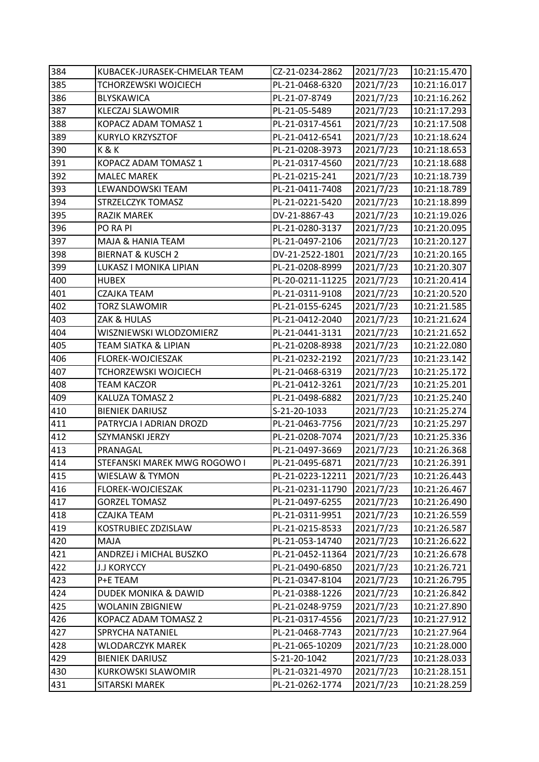| 384 | KUBACEK-JURASEK-CHMELAR TEAM    | CZ-21-0234-2862  | 2021/7/23 | 10:21:15.470 |
|-----|---------------------------------|------------------|-----------|--------------|
| 385 | TCHORZEWSKI WOJCIECH            | PL-21-0468-6320  | 2021/7/23 | 10:21:16.017 |
| 386 | BLYSKAWICA                      | PL-21-07-8749    | 2021/7/23 | 10:21:16.262 |
| 387 | <b>KLECZAJ SLAWOMIR</b>         | PL-21-05-5489    | 2021/7/23 | 10:21:17.293 |
| 388 | KOPACZ ADAM TOMASZ 1            | PL-21-0317-4561  | 2021/7/23 | 10:21:17.508 |
| 389 | KURYLO KRZYSZTOF                | PL-21-0412-6541  | 2021/7/23 | 10:21:18.624 |
| 390 | K&K                             | PL-21-0208-3973  | 2021/7/23 | 10:21:18.653 |
| 391 | KOPACZ ADAM TOMASZ 1            | PL-21-0317-4560  | 2021/7/23 | 10:21:18.688 |
| 392 | <b>MALEC MAREK</b>              | PL-21-0215-241   | 2021/7/23 | 10:21:18.739 |
| 393 | LEWANDOWSKI TEAM                | PL-21-0411-7408  | 2021/7/23 | 10:21:18.789 |
| 394 | STRZELCZYK TOMASZ               | PL-21-0221-5420  | 2021/7/23 | 10:21:18.899 |
| 395 | RAZIK MAREK                     | DV-21-8867-43    | 2021/7/23 | 10:21:19.026 |
| 396 | PO RA PI                        | PL-21-0280-3137  | 2021/7/23 | 10:21:20.095 |
| 397 | MAJA & HANIA TEAM               | PL-21-0497-2106  | 2021/7/23 | 10:21:20.127 |
| 398 | <b>BIERNAT &amp; KUSCH 2</b>    | DV-21-2522-1801  | 2021/7/23 | 10:21:20.165 |
| 399 | LUKASZ I MONIKA LIPIAN          | PL-21-0208-8999  | 2021/7/23 | 10:21:20.307 |
| 400 | <b>HUBEX</b>                    | PL-20-0211-11225 | 2021/7/23 | 10:21:20.414 |
| 401 | CZAJKA TEAM                     | PL-21-0311-9108  | 2021/7/23 | 10:21:20.520 |
| 402 | <b>TORZ SLAWOMIR</b>            | PL-21-0155-6245  | 2021/7/23 | 10:21:21.585 |
| 403 | ZAK & HULAS                     | PL-21-0412-2040  | 2021/7/23 | 10:21:21.624 |
| 404 | WISZNIEWSKI WLODZOMIERZ         | PL-21-0441-3131  | 2021/7/23 | 10:21:21.652 |
| 405 | <b>TEAM SIATKA &amp; LIPIAN</b> | PL-21-0208-8938  | 2021/7/23 | 10:21:22.080 |
| 406 | FLOREK-WOJCIESZAK               | PL-21-0232-2192  | 2021/7/23 | 10:21:23.142 |
| 407 | <b>TCHORZEWSKI WOJCIECH</b>     | PL-21-0468-6319  | 2021/7/23 | 10:21:25.172 |
| 408 | <b>TEAM KACZOR</b>              | PL-21-0412-3261  | 2021/7/23 | 10:21:25.201 |
| 409 | KALUZA TOMASZ 2                 | PL-21-0498-6882  | 2021/7/23 | 10:21:25.240 |
| 410 | <b>BIENIEK DARIUSZ</b>          | S-21-20-1033     | 2021/7/23 | 10:21:25.274 |
| 411 | PATRYCJA I ADRIAN DROZD         | PL-21-0463-7756  | 2021/7/23 | 10:21:25.297 |
| 412 | SZYMANSKI JERZY                 | PL-21-0208-7074  | 2021/7/23 | 10:21:25.336 |
| 413 | PRANAGAL                        | PL-21-0497-3669  | 2021/7/23 | 10:21:26.368 |
| 414 | STEFANSKI MAREK MWG ROGOWO I    | PL-21-0495-6871  | 2021/7/23 | 10:21:26.391 |
| 415 | WIESLAW & TYMON                 | PL-21-0223-12211 | 2021/7/23 | 10:21:26.443 |
| 416 | FLOREK-WOJCIESZAK               | PL-21-0231-11790 | 2021/7/23 | 10:21:26.467 |
| 417 | <b>GORZEL TOMASZ</b>            | PL-21-0497-6255  | 2021/7/23 | 10:21:26.490 |
| 418 | CZAJKA TEAM                     | PL-21-0311-9951  | 2021/7/23 | 10:21:26.559 |
| 419 | KOSTRUBIEC ZDZISLAW             | PL-21-0215-8533  | 2021/7/23 | 10:21:26.587 |
| 420 | MAJA                            | PL-21-053-14740  | 2021/7/23 | 10:21:26.622 |
| 421 | ANDRZEJ i MICHAL BUSZKO         | PL-21-0452-11364 | 2021/7/23 | 10:21:26.678 |
| 422 | <b>J.J KORYCCY</b>              | PL-21-0490-6850  | 2021/7/23 | 10:21:26.721 |
| 423 | P+E TEAM                        | PL-21-0347-8104  | 2021/7/23 | 10:21:26.795 |
| 424 | <b>DUDEK MONIKA &amp; DAWID</b> | PL-21-0388-1226  | 2021/7/23 | 10:21:26.842 |
| 425 | <b>WOLANIN ZBIGNIEW</b>         | PL-21-0248-9759  | 2021/7/23 | 10:21:27.890 |
| 426 | KOPACZ ADAM TOMASZ 2            | PL-21-0317-4556  | 2021/7/23 | 10:21:27.912 |
| 427 | SPRYCHA NATANIEL                | PL-21-0468-7743  | 2021/7/23 | 10:21:27.964 |
| 428 | <b>WLODARCZYK MAREK</b>         | PL-21-065-10209  | 2021/7/23 | 10:21:28.000 |
| 429 | <b>BIENIEK DARIUSZ</b>          | S-21-20-1042     | 2021/7/23 | 10:21:28.033 |
| 430 | KURKOWSKI SLAWOMIR              | PL-21-0321-4970  | 2021/7/23 | 10:21:28.151 |
| 431 | SITARSKI MAREK                  | PL-21-0262-1774  | 2021/7/23 | 10:21:28.259 |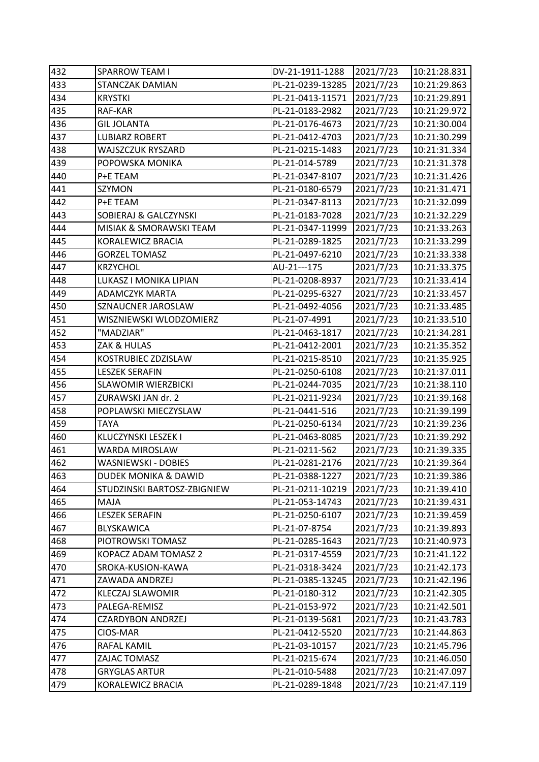| 432 | <b>SPARROW TEAM I</b>       | DV-21-1911-1288  | 2021/7/23 | 10:21:28.831 |
|-----|-----------------------------|------------------|-----------|--------------|
| 433 | STANCZAK DAMIAN             | PL-21-0239-13285 | 2021/7/23 | 10:21:29.863 |
| 434 | <b>KRYSTKI</b>              | PL-21-0413-11571 | 2021/7/23 | 10:21:29.891 |
| 435 | RAF-KAR                     | PL-21-0183-2982  | 2021/7/23 | 10:21:29.972 |
| 436 | <b>GIL JOLANTA</b>          | PL-21-0176-4673  | 2021/7/23 | 10:21:30.004 |
| 437 | <b>LUBIARZ ROBERT</b>       | PL-21-0412-4703  | 2021/7/23 | 10:21:30.299 |
| 438 | WAJSZCZUK RYSZARD           | PL-21-0215-1483  | 2021/7/23 | 10:21:31.334 |
| 439 | POPOWSKA MONIKA             | PL-21-014-5789   | 2021/7/23 | 10:21:31.378 |
| 440 | P+E TEAM                    | PL-21-0347-8107  | 2021/7/23 | 10:21:31.426 |
| 441 | <b>SZYMON</b>               | PL-21-0180-6579  | 2021/7/23 | 10:21:31.471 |
| 442 | P+E TEAM                    | PL-21-0347-8113  | 2021/7/23 | 10:21:32.099 |
| 443 | SOBIERAJ & GALCZYNSKI       | PL-21-0183-7028  | 2021/7/23 | 10:21:32.229 |
| 444 | MISIAK & SMORAWSKI TEAM     | PL-21-0347-11999 | 2021/7/23 | 10:21:33.263 |
| 445 | KORALEWICZ BRACIA           | PL-21-0289-1825  | 2021/7/23 | 10:21:33.299 |
| 446 | <b>GORZEL TOMASZ</b>        | PL-21-0497-6210  | 2021/7/23 | 10:21:33.338 |
| 447 | <b>KRZYCHOL</b>             | AU-21---175      | 2021/7/23 | 10:21:33.375 |
| 448 | LUKASZ I MONIKA LIPIAN      | PL-21-0208-8937  | 2021/7/23 | 10:21:33.414 |
| 449 | <b>ADAMCZYK MARTA</b>       | PL-21-0295-6327  | 2021/7/23 | 10:21:33.457 |
| 450 | SZNAUCNER JAROSLAW          | PL-21-0492-4056  | 2021/7/23 | 10:21:33.485 |
| 451 | WISZNIEWSKI WLODZOMIERZ     | PL-21-07-4991    | 2021/7/23 | 10:21:33.510 |
| 452 | "MADZIAR"                   | PL-21-0463-1817  | 2021/7/23 | 10:21:34.281 |
| 453 | ZAK & HULAS                 | PL-21-0412-2001  | 2021/7/23 | 10:21:35.352 |
| 454 | KOSTRUBIEC ZDZISLAW         | PL-21-0215-8510  | 2021/7/23 | 10:21:35.925 |
| 455 | <b>LESZEK SERAFIN</b>       | PL-21-0250-6108  | 2021/7/23 | 10:21:37.011 |
| 456 | <b>SLAWOMIR WIERZBICKI</b>  | PL-21-0244-7035  | 2021/7/23 | 10:21:38.110 |
| 457 | ZURAWSKI JAN dr. 2          | PL-21-0211-9234  | 2021/7/23 | 10:21:39.168 |
| 458 | POPLAWSKI MIECZYSLAW        | PL-21-0441-516   | 2021/7/23 | 10:21:39.199 |
| 459 | TAYA                        | PL-21-0250-6134  | 2021/7/23 | 10:21:39.236 |
| 460 | KLUCZYNSKI LESZEK I         | PL-21-0463-8085  | 2021/7/23 | 10:21:39.292 |
| 461 | WARDA MIROSLAW              | PL-21-0211-562   | 2021/7/23 | 10:21:39.335 |
| 462 | WASNIEWSKI - DOBIES         | PL-21-0281-2176  | 2021/7/23 | 10:21:39.364 |
| 463 | DUDEK MONIKA & DAWID        | PL-21-0388-1227  | 2021/7/23 | 10:21:39.386 |
| 464 | STUDZINSKI BARTOSZ-ZBIGNIEW | PL-21-0211-10219 | 2021/7/23 | 10:21:39.410 |
| 465 | MAJA                        | PL-21-053-14743  | 2021/7/23 | 10:21:39.431 |
| 466 | <b>LESZEK SERAFIN</b>       | PL-21-0250-6107  | 2021/7/23 | 10:21:39.459 |
| 467 | BLYSKAWICA                  | PL-21-07-8754    | 2021/7/23 | 10:21:39.893 |
| 468 | PIOTROWSKI TOMASZ           | PL-21-0285-1643  | 2021/7/23 | 10:21:40.973 |
| 469 | KOPACZ ADAM TOMASZ 2        | PL-21-0317-4559  | 2021/7/23 | 10:21:41.122 |
| 470 | SROKA-KUSION-KAWA           | PL-21-0318-3424  | 2021/7/23 | 10:21:42.173 |
| 471 | ZAWADA ANDRZEJ              | PL-21-0385-13245 | 2021/7/23 | 10:21:42.196 |
| 472 | <b>KLECZAJ SLAWOMIR</b>     | PL-21-0180-312   | 2021/7/23 | 10:21:42.305 |
| 473 | PALEGA-REMISZ               | PL-21-0153-972   | 2021/7/23 | 10:21:42.501 |
| 474 | <b>CZARDYBON ANDRZEJ</b>    | PL-21-0139-5681  | 2021/7/23 | 10:21:43.783 |
| 475 | CIOS-MAR                    | PL-21-0412-5520  | 2021/7/23 | 10:21:44.863 |
| 476 | RAFAL KAMIL                 | PL-21-03-10157   | 2021/7/23 | 10:21:45.796 |
| 477 | ZAJAC TOMASZ                | PL-21-0215-674   | 2021/7/23 | 10:21:46.050 |
| 478 | <b>GRYGLAS ARTUR</b>        | PL-21-010-5488   | 2021/7/23 | 10:21:47.097 |
| 479 | KORALEWICZ BRACIA           | PL-21-0289-1848  | 2021/7/23 | 10:21:47.119 |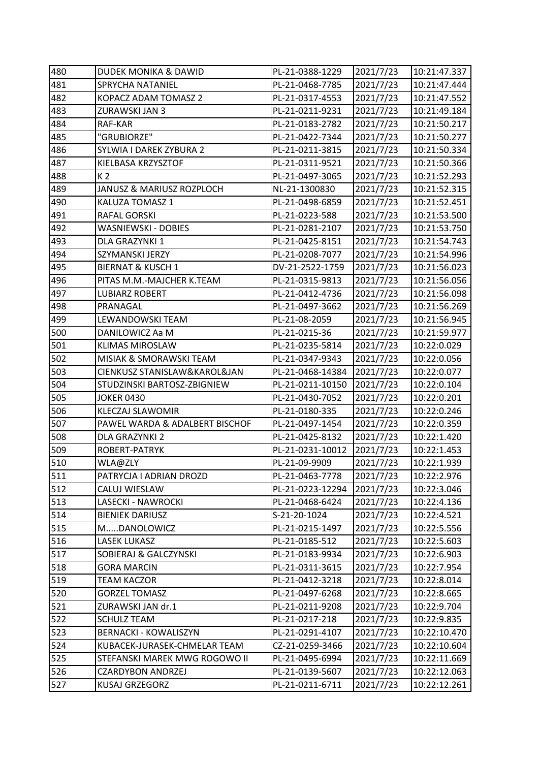| 480 | <b>DUDEK MONIKA &amp; DAWID</b> | PL-21-0388-1229  | 2021/7/23 | 10:21:47.337 |
|-----|---------------------------------|------------------|-----------|--------------|
| 481 | SPRYCHA NATANIEL                | PL-21-0468-7785  | 2021/7/23 | 10:21:47.444 |
| 482 | KOPACZ ADAM TOMASZ 2            | PL-21-0317-4553  | 2021/7/23 | 10:21:47.552 |
| 483 | ZURAWSKI JAN 3                  | PL-21-0211-9231  | 2021/7/23 | 10:21:49.184 |
| 484 | RAF-KAR                         | PL-21-0183-2782  | 2021/7/23 | 10:21:50.217 |
| 485 | "GRUBIORZE"                     | PL-21-0422-7344  | 2021/7/23 | 10:21:50.277 |
| 486 | SYLWIA I DAREK ZYBURA 2         | PL-21-0211-3815  | 2021/7/23 | 10:21:50.334 |
| 487 | KIELBASA KRZYSZTOF              | PL-21-0311-9521  | 2021/7/23 | 10:21:50.366 |
| 488 | K 2                             | PL-21-0497-3065  | 2021/7/23 | 10:21:52.293 |
| 489 | JANUSZ & MARIUSZ ROZPLOCH       | NL-21-1300830    | 2021/7/23 | 10:21:52.315 |
| 490 | KALUZA TOMASZ 1                 | PL-21-0498-6859  | 2021/7/23 | 10:21:52.451 |
| 491 | <b>RAFAL GORSKI</b>             | PL-21-0223-588   | 2021/7/23 | 10:21:53.500 |
| 492 | WASNIEWSKI - DOBIES             | PL-21-0281-2107  | 2021/7/23 | 10:21:53.750 |
| 493 | DLA GRAZYNKI 1                  | PL-21-0425-8151  | 2021/7/23 | 10:21:54.743 |
| 494 | SZYMANSKI JERZY                 | PL-21-0208-7077  | 2021/7/23 | 10:21:54.996 |
| 495 | <b>BIERNAT &amp; KUSCH 1</b>    | DV-21-2522-1759  | 2021/7/23 | 10:21:56.023 |
| 496 | PITAS M.M.-MAJCHER K.TEAM       | PL-21-0315-9813  | 2021/7/23 | 10:21:56.056 |
| 497 | LUBIARZ ROBERT                  | PL-21-0412-4736  | 2021/7/23 | 10:21:56.098 |
| 498 | PRANAGAL                        | PL-21-0497-3662  | 2021/7/23 | 10:21:56.269 |
| 499 | LEWANDOWSKI TEAM                | PL-21-08-2059    | 2021/7/23 | 10:21:56.945 |
| 500 | DANILOWICZ Aa M                 | PL-21-0215-36    | 2021/7/23 | 10:21:59.977 |
| 501 | <b>KLIMAS MIROSLAW</b>          | PL-21-0235-5814  | 2021/7/23 | 10:22:0.029  |
| 502 | MISIAK & SMORAWSKI TEAM         | PL-21-0347-9343  | 2021/7/23 | 10:22:0.056  |
| 503 | CIENKUSZ STANISLAW&KAROL&JAN    | PL-21-0468-14384 | 2021/7/23 | 10:22:0.077  |
| 504 | STUDZINSKI BARTOSZ-ZBIGNIEW     | PL-21-0211-10150 | 2021/7/23 | 10:22:0.104  |
| 505 | <b>JOKER 0430</b>               | PL-21-0430-7052  | 2021/7/23 | 10:22:0.201  |
| 506 | <b>KLECZAJ SLAWOMIR</b>         | PL-21-0180-335   | 2021/7/23 | 10:22:0.246  |
| 507 | PAWEL WARDA & ADALBERT BISCHOF  | PL-21-0497-1454  | 2021/7/23 | 10:22:0.359  |
| 508 | DLA GRAZYNKI 2                  | PL-21-0425-8132  | 2021/7/23 | 10:22:1.420  |
| 509 | ROBERT-PATRYK                   | PL-21-0231-10012 | 2021/7/23 | 10:22:1.453  |
| 510 | WLA@ZLY                         | PL-21-09-9909    | 2021/7/23 | 10:22:1.939  |
| 511 | PATRYCJA I ADRIAN DROZD         | PL-21-0463-7778  | 2021/7/23 | 10:22:2.976  |
| 512 | CALUJ WIESLAW                   | PL-21-0223-12294 | 2021/7/23 | 10:22:3.046  |
| 513 | LASECKI - NAWROCKI              | PL-21-0468-6424  | 2021/7/23 | 10:22:4.136  |
| 514 | <b>BIENIEK DARIUSZ</b>          | S-21-20-1024     | 2021/7/23 | 10:22:4.521  |
| 515 | MDANOLOWICZ                     | PL-21-0215-1497  | 2021/7/23 | 10:22:5.556  |
| 516 | <b>LASEK LUKASZ</b>             | PL-21-0185-512   | 2021/7/23 | 10:22:5.603  |
| 517 | SOBIERAJ & GALCZYNSKI           | PL-21-0183-9934  | 2021/7/23 | 10:22:6.903  |
| 518 | <b>GORA MARCIN</b>              | PL-21-0311-3615  | 2021/7/23 | 10:22:7.954  |
| 519 | <b>TEAM KACZOR</b>              | PL-21-0412-3218  | 2021/7/23 | 10:22:8.014  |
| 520 | <b>GORZEL TOMASZ</b>            | PL-21-0497-6268  | 2021/7/23 | 10:22:8.665  |
| 521 | ZURAWSKI JAN dr.1               | PL-21-0211-9208  | 2021/7/23 | 10:22:9.704  |
| 522 | <b>SCHULZ TEAM</b>              | PL-21-0217-218   | 2021/7/23 | 10:22:9.835  |
| 523 | <b>BERNACKI - KOWALISZYN</b>    | PL-21-0291-4107  | 2021/7/23 | 10:22:10.470 |
| 524 | KUBACEK-JURASEK-CHMELAR TEAM    | CZ-21-0259-3466  | 2021/7/23 | 10:22:10.604 |
| 525 | STEFANSKI MAREK MWG ROGOWO II   | PL-21-0495-6994  | 2021/7/23 | 10:22:11.669 |
| 526 | <b>CZARDYBON ANDRZEJ</b>        | PL-21-0139-5607  | 2021/7/23 | 10:22:12.063 |
| 527 | KUSAJ GRZEGORZ                  | PL-21-0211-6711  | 2021/7/23 | 10:22:12.261 |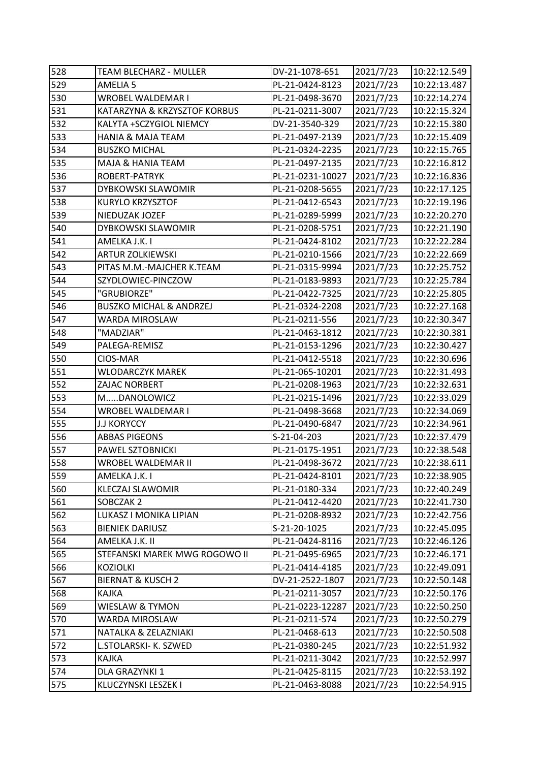| 528 | TEAM BLECHARZ - MULLER             | DV-21-1078-651   | 2021/7/23 | 10:22:12.549 |
|-----|------------------------------------|------------------|-----------|--------------|
| 529 | AMELIA <sub>5</sub>                | PL-21-0424-8123  | 2021/7/23 | 10:22:13.487 |
| 530 | WROBEL WALDEMAR I                  | PL-21-0498-3670  | 2021/7/23 | 10:22:14.274 |
| 531 | KATARZYNA & KRZYSZTOF KORBUS       | PL-21-0211-3007  | 2021/7/23 | 10:22:15.324 |
| 532 | KALYTA +SCZYGIOL NIEMCY            | DV-21-3540-329   | 2021/7/23 | 10:22:15.380 |
| 533 | <b>HANIA &amp; MAJA TEAM</b>       | PL-21-0497-2139  | 2021/7/23 | 10:22:15.409 |
| 534 | <b>BUSZKO MICHAL</b>               | PL-21-0324-2235  | 2021/7/23 | 10:22:15.765 |
| 535 | MAJA & HANIA TEAM                  | PL-21-0497-2135  | 2021/7/23 | 10:22:16.812 |
| 536 | ROBERT-PATRYK                      | PL-21-0231-10027 | 2021/7/23 | 10:22:16.836 |
| 537 | <b>DYBKOWSKI SLAWOMIR</b>          | PL-21-0208-5655  | 2021/7/23 | 10:22:17.125 |
| 538 | KURYLO KRZYSZTOF                   | PL-21-0412-6543  | 2021/7/23 | 10:22:19.196 |
| 539 | NIEDUZAK JOZEF                     | PL-21-0289-5999  | 2021/7/23 | 10:22:20.270 |
| 540 | DYBKOWSKI SLAWOMIR                 | PL-21-0208-5751  | 2021/7/23 | 10:22:21.190 |
| 541 | AMELKA J.K. I                      | PL-21-0424-8102  | 2021/7/23 | 10:22:22.284 |
| 542 | <b>ARTUR ZOLKIEWSKI</b>            | PL-21-0210-1566  | 2021/7/23 | 10:22:22.669 |
| 543 | PITAS M.M.-MAJCHER K.TEAM          | PL-21-0315-9994  | 2021/7/23 | 10:22:25.752 |
| 544 | SZYDLOWIEC-PINCZOW                 | PL-21-0183-9893  | 2021/7/23 | 10:22:25.784 |
| 545 | "GRUBIORZE"                        | PL-21-0422-7325  | 2021/7/23 | 10:22:25.805 |
| 546 | <b>BUSZKO MICHAL &amp; ANDRZEJ</b> | PL-21-0324-2208  | 2021/7/23 | 10:22:27.168 |
| 547 | WARDA MIROSLAW                     | PL-21-0211-556   | 2021/7/23 | 10:22:30.347 |
| 548 | "MADZIAR"                          | PL-21-0463-1812  | 2021/7/23 | 10:22:30.381 |
| 549 | PALEGA-REMISZ                      | PL-21-0153-1296  | 2021/7/23 | 10:22:30.427 |
| 550 | CIOS-MAR                           | PL-21-0412-5518  | 2021/7/23 | 10:22:30.696 |
| 551 | WLODARCZYK MAREK                   | PL-21-065-10201  | 2021/7/23 | 10:22:31.493 |
| 552 | ZAJAC NORBERT                      | PL-21-0208-1963  | 2021/7/23 | 10:22:32.631 |
| 553 | MDANOLOWICZ                        | PL-21-0215-1496  | 2021/7/23 | 10:22:33.029 |
| 554 | WROBEL WALDEMAR I                  | PL-21-0498-3668  | 2021/7/23 | 10:22:34.069 |
| 555 | <b>J.J KORYCCY</b>                 | PL-21-0490-6847  | 2021/7/23 | 10:22:34.961 |
| 556 | <b>ABBAS PIGEONS</b>               | S-21-04-203      | 2021/7/23 | 10:22:37.479 |
| 557 | PAWEL SZTOBNICKI                   | PL-21-0175-1951  | 2021/7/23 | 10:22:38.548 |
| 558 | WROBEL WALDEMAR II                 | PL-21-0498-3672  | 2021/7/23 | 10:22:38.611 |
| 559 | AMELKA J.K. I                      | PL-21-0424-8101  | 2021/7/23 | 10:22:38.905 |
| 560 | <b>KLECZAJ SLAWOMIR</b>            | PL-21-0180-334   | 2021/7/23 | 10:22:40.249 |
| 561 | SOBCZAK 2                          | PL-21-0412-4420  | 2021/7/23 | 10:22:41.730 |
| 562 | LUKASZ I MONIKA LIPIAN             | PL-21-0208-8932  | 2021/7/23 | 10:22:42.756 |
| 563 | <b>BIENIEK DARIUSZ</b>             | S-21-20-1025     | 2021/7/23 | 10:22:45.095 |
| 564 | AMELKA J.K. II                     | PL-21-0424-8116  | 2021/7/23 | 10:22:46.126 |
| 565 | STEFANSKI MAREK MWG ROGOWO II      | PL-21-0495-6965  | 2021/7/23 | 10:22:46.171 |
| 566 | <b>KOZIOLKI</b>                    | PL-21-0414-4185  | 2021/7/23 | 10:22:49.091 |
| 567 | <b>BIERNAT &amp; KUSCH 2</b>       | DV-21-2522-1807  | 2021/7/23 | 10:22:50.148 |
| 568 | KAJKA                              | PL-21-0211-3057  | 2021/7/23 | 10:22:50.176 |
| 569 | WIESLAW & TYMON                    | PL-21-0223-12287 | 2021/7/23 | 10:22:50.250 |
| 570 | WARDA MIROSLAW                     | PL-21-0211-574   | 2021/7/23 | 10:22:50.279 |
| 571 | NATALKA & ZELAZNIAKI               | PL-21-0468-613   | 2021/7/23 | 10:22:50.508 |
| 572 | L.STOLARSKI- K. SZWED              | PL-21-0380-245   | 2021/7/23 | 10:22:51.932 |
| 573 | KAJKA                              | PL-21-0211-3042  | 2021/7/23 | 10:22:52.997 |
| 574 | DLA GRAZYNKI 1                     | PL-21-0425-8115  | 2021/7/23 | 10:22:53.192 |
| 575 | KLUCZYNSKI LESZEK I                | PL-21-0463-8088  | 2021/7/23 | 10:22:54.915 |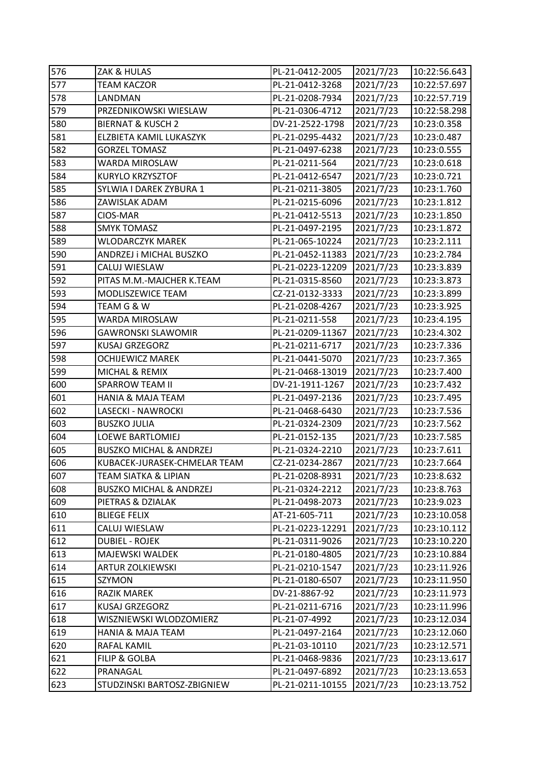| 576 | ZAK & HULAS                        | PL-21-0412-2005  | 2021/7/23 | 10:22:56.643 |
|-----|------------------------------------|------------------|-----------|--------------|
| 577 | <b>TEAM KACZOR</b>                 | PL-21-0412-3268  | 2021/7/23 | 10:22:57.697 |
| 578 | LANDMAN                            | PL-21-0208-7934  | 2021/7/23 | 10:22:57.719 |
| 579 | PRZEDNIKOWSKI WIESLAW              | PL-21-0306-4712  | 2021/7/23 | 10:22:58.298 |
| 580 | <b>BIERNAT &amp; KUSCH 2</b>       | DV-21-2522-1798  | 2021/7/23 | 10:23:0.358  |
| 581 | ELZBIETA KAMIL LUKASZYK            | PL-21-0295-4432  | 2021/7/23 | 10:23:0.487  |
| 582 | <b>GORZEL TOMASZ</b>               | PL-21-0497-6238  | 2021/7/23 | 10:23:0.555  |
| 583 | WARDA MIROSLAW                     | PL-21-0211-564   | 2021/7/23 | 10:23:0.618  |
| 584 | <b>KURYLO KRZYSZTOF</b>            | PL-21-0412-6547  | 2021/7/23 | 10:23:0.721  |
| 585 | SYLWIA I DAREK ZYBURA 1            | PL-21-0211-3805  | 2021/7/23 | 10:23:1.760  |
| 586 | ZAWISLAK ADAM                      | PL-21-0215-6096  | 2021/7/23 | 10:23:1.812  |
| 587 | CIOS-MAR                           | PL-21-0412-5513  | 2021/7/23 | 10:23:1.850  |
| 588 | <b>SMYK TOMASZ</b>                 | PL-21-0497-2195  | 2021/7/23 | 10:23:1.872  |
| 589 | <b>WLODARCZYK MAREK</b>            | PL-21-065-10224  | 2021/7/23 | 10:23:2.111  |
| 590 | ANDRZEJ i MICHAL BUSZKO            | PL-21-0452-11383 | 2021/7/23 | 10:23:2.784  |
| 591 | CALUJ WIESLAW                      | PL-21-0223-12209 | 2021/7/23 | 10:23:3.839  |
| 592 | PITAS M.M.-MAJCHER K.TEAM          | PL-21-0315-8560  | 2021/7/23 | 10:23:3.873  |
| 593 | MODLISZEWICE TEAM                  | CZ-21-0132-3333  | 2021/7/23 | 10:23:3.899  |
| 594 | TEAM G & W                         | PL-21-0208-4267  | 2021/7/23 | 10:23:3.925  |
| 595 | WARDA MIROSLAW                     | PL-21-0211-558   | 2021/7/23 | 10:23:4.195  |
| 596 | GAWRONSKI SLAWOMIR                 | PL-21-0209-11367 | 2021/7/23 | 10:23:4.302  |
| 597 | <b>KUSAJ GRZEGORZ</b>              | PL-21-0211-6717  | 2021/7/23 | 10:23:7.336  |
| 598 | <b>OCHIJEWICZ MAREK</b>            | PL-21-0441-5070  | 2021/7/23 | 10:23:7.365  |
| 599 | MICHAL & REMIX                     | PL-21-0468-13019 | 2021/7/23 | 10:23:7.400  |
| 600 | <b>SPARROW TEAM II</b>             | DV-21-1911-1267  | 2021/7/23 | 10:23:7.432  |
| 601 | <b>HANIA &amp; MAJA TEAM</b>       | PL-21-0497-2136  | 2021/7/23 | 10:23:7.495  |
| 602 | LASECKI - NAWROCKI                 | PL-21-0468-6430  | 2021/7/23 | 10:23:7.536  |
| 603 | <b>BUSZKO JULIA</b>                | PL-21-0324-2309  | 2021/7/23 | 10:23:7.562  |
| 604 | <b>LOEWE BARTLOMIEJ</b>            | PL-21-0152-135   | 2021/7/23 | 10:23:7.585  |
| 605 | <b>BUSZKO MICHAL &amp; ANDRZEJ</b> | PL-21-0324-2210  | 2021/7/23 | 10:23:7.611  |
| 606 | KUBACEK-JURASEK-CHMELAR TEAM       | CZ-21-0234-2867  | 2021/7/23 | 10:23:7.664  |
| 607 | <b>TEAM SIATKA &amp; LIPIAN</b>    | PL-21-0208-8931  | 2021/7/23 | 10:23:8.632  |
| 608 | <b>BUSZKO MICHAL &amp; ANDRZEJ</b> | PL-21-0324-2212  | 2021/7/23 | 10:23:8.763  |
| 609 | PIETRAS & DZIALAK                  | PL-21-0498-2073  | 2021/7/23 | 10:23:9.023  |
| 610 | <b>BLIEGE FELIX</b>                | AT-21-605-711    | 2021/7/23 | 10:23:10.058 |
| 611 | CALUJ WIESLAW                      | PL-21-0223-12291 | 2021/7/23 | 10:23:10.112 |
| 612 | <b>DUBIEL - ROJEK</b>              | PL-21-0311-9026  | 2021/7/23 | 10:23:10.220 |
| 613 | <b>MAJEWSKI WALDEK</b>             | PL-21-0180-4805  | 2021/7/23 | 10:23:10.884 |
| 614 | <b>ARTUR ZOLKIEWSKI</b>            | PL-21-0210-1547  | 2021/7/23 | 10:23:11.926 |
| 615 | SZYMON                             | PL-21-0180-6507  | 2021/7/23 | 10:23:11.950 |
| 616 | <b>RAZIK MAREK</b>                 | DV-21-8867-92    | 2021/7/23 | 10:23:11.973 |
| 617 | <b>KUSAJ GRZEGORZ</b>              | PL-21-0211-6716  | 2021/7/23 | 10:23:11.996 |
| 618 | WISZNIEWSKI WLODZOMIERZ            | PL-21-07-4992    | 2021/7/23 | 10:23:12.034 |
| 619 | <b>HANIA &amp; MAJA TEAM</b>       | PL-21-0497-2164  | 2021/7/23 | 10:23:12.060 |
| 620 | RAFAL KAMIL                        | PL-21-03-10110   | 2021/7/23 | 10:23:12.571 |
| 621 | FILIP & GOLBA                      | PL-21-0468-9836  | 2021/7/23 | 10:23:13.617 |
| 622 | PRANAGAL                           | PL-21-0497-6892  | 2021/7/23 | 10:23:13.653 |
| 623 | STUDZINSKI BARTOSZ-ZBIGNIEW        | PL-21-0211-10155 | 2021/7/23 | 10:23:13.752 |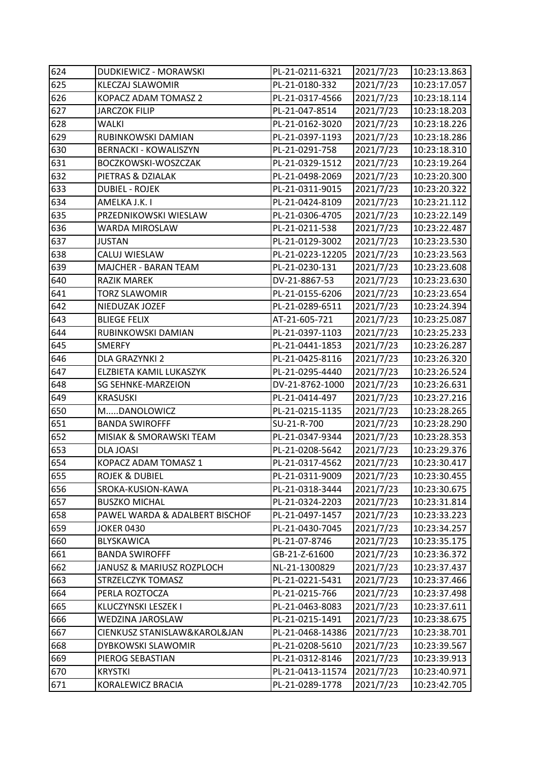| 624 | DUDKIEWICZ - MORAWSKI          | PL-21-0211-6321  | 2021/7/23 | 10:23:13.863 |
|-----|--------------------------------|------------------|-----------|--------------|
| 625 | KLECZAJ SLAWOMIR               | PL-21-0180-332   | 2021/7/23 | 10:23:17.057 |
| 626 | KOPACZ ADAM TOMASZ 2           | PL-21-0317-4566  | 2021/7/23 | 10:23:18.114 |
| 627 | <b>JARCZOK FILIP</b>           | PL-21-047-8514   | 2021/7/23 | 10:23:18.203 |
| 628 | <b>WALKI</b>                   | PL-21-0162-3020  | 2021/7/23 | 10:23:18.226 |
| 629 | RUBINKOWSKI DAMIAN             | PL-21-0397-1193  | 2021/7/23 | 10:23:18.286 |
| 630 | <b>BERNACKI - KOWALISZYN</b>   | PL-21-0291-758   | 2021/7/23 | 10:23:18.310 |
| 631 | BOCZKOWSKI-WOSZCZAK            | PL-21-0329-1512  | 2021/7/23 | 10:23:19.264 |
| 632 | PIETRAS & DZIALAK              | PL-21-0498-2069  | 2021/7/23 | 10:23:20.300 |
| 633 | <b>DUBIEL - ROJEK</b>          | PL-21-0311-9015  | 2021/7/23 | 10:23:20.322 |
| 634 | AMELKA J.K. I                  | PL-21-0424-8109  | 2021/7/23 | 10:23:21.112 |
| 635 | PRZEDNIKOWSKI WIESLAW          | PL-21-0306-4705  | 2021/7/23 | 10:23:22.149 |
| 636 | WARDA MIROSLAW                 | PL-21-0211-538   | 2021/7/23 | 10:23:22.487 |
| 637 | <b>JUSTAN</b>                  | PL-21-0129-3002  | 2021/7/23 | 10:23:23.530 |
| 638 | CALUJ WIESLAW                  | PL-21-0223-12205 | 2021/7/23 | 10:23:23.563 |
| 639 | MAJCHER - BARAN TEAM           | PL-21-0230-131   | 2021/7/23 | 10:23:23.608 |
| 640 | <b>RAZIK MAREK</b>             | DV-21-8867-53    | 2021/7/23 | 10:23:23.630 |
| 641 | <b>TORZ SLAWOMIR</b>           | PL-21-0155-6206  | 2021/7/23 | 10:23:23.654 |
| 642 | NIEDUZAK JOZEF                 | PL-21-0289-6511  | 2021/7/23 | 10:23:24.394 |
| 643 | <b>BLIEGE FELIX</b>            | AT-21-605-721    | 2021/7/23 | 10:23:25.087 |
| 644 | RUBINKOWSKI DAMIAN             | PL-21-0397-1103  | 2021/7/23 | 10:23:25.233 |
| 645 | <b>SMERFY</b>                  | PL-21-0441-1853  | 2021/7/23 | 10:23:26.287 |
| 646 | DLA GRAZYNKI 2                 | PL-21-0425-8116  | 2021/7/23 | 10:23:26.320 |
| 647 | ELZBIETA KAMIL LUKASZYK        | PL-21-0295-4440  | 2021/7/23 | 10:23:26.524 |
| 648 | <b>SG SEHNKE-MARZEION</b>      | DV-21-8762-1000  | 2021/7/23 | 10:23:26.631 |
| 649 | <b>KRASUSKI</b>                | PL-21-0414-497   | 2021/7/23 | 10:23:27.216 |
| 650 | MDANOLOWICZ                    | PL-21-0215-1135  | 2021/7/23 | 10:23:28.265 |
| 651 | <b>BANDA SWIROFFF</b>          | SU-21-R-700      | 2021/7/23 | 10:23:28.290 |
| 652 | MISIAK & SMORAWSKI TEAM        | PL-21-0347-9344  | 2021/7/23 | 10:23:28.353 |
| 653 | <b>DLA JOASI</b>               | PL-21-0208-5642  | 2021/7/23 | 10:23:29.376 |
| 654 | KOPACZ ADAM TOMASZ 1           | PL-21-0317-4562  | 2021/7/23 | 10:23:30.417 |
| 655 | <b>ROJEK &amp; DUBIEL</b>      | PL-21-0311-9009  | 2021/7/23 | 10:23:30.455 |
| 656 | SROKA-KUSION-KAWA              | PL-21-0318-3444  | 2021/7/23 | 10:23:30.675 |
| 657 | <b>BUSZKO MICHAL</b>           | PL-21-0324-2203  | 2021/7/23 | 10:23:31.814 |
| 658 | PAWEL WARDA & ADALBERT BISCHOF | PL-21-0497-1457  | 2021/7/23 | 10:23:33.223 |
| 659 | <b>JOKER 0430</b>              | PL-21-0430-7045  | 2021/7/23 | 10:23:34.257 |
| 660 | <b>BLYSKAWICA</b>              | PL-21-07-8746    | 2021/7/23 | 10:23:35.175 |
| 661 | <b>BANDA SWIROFFF</b>          | GB-21-Z-61600    | 2021/7/23 | 10:23:36.372 |
| 662 | JANUSZ & MARIUSZ ROZPLOCH      | NL-21-1300829    | 2021/7/23 | 10:23:37.437 |
| 663 | STRZELCZYK TOMASZ              | PL-21-0221-5431  | 2021/7/23 | 10:23:37.466 |
| 664 | PERLA ROZTOCZA                 | PL-21-0215-766   | 2021/7/23 | 10:23:37.498 |
| 665 | KLUCZYNSKI LESZEK I            | PL-21-0463-8083  | 2021/7/23 | 10:23:37.611 |
| 666 | WEDZINA JAROSLAW               | PL-21-0215-1491  | 2021/7/23 | 10:23:38.675 |
| 667 | CIENKUSZ STANISLAW&KAROL&JAN   | PL-21-0468-14386 | 2021/7/23 | 10:23:38.701 |
| 668 | DYBKOWSKI SLAWOMIR             | PL-21-0208-5610  | 2021/7/23 | 10:23:39.567 |
| 669 | PIEROG SEBASTIAN               | PL-21-0312-8146  | 2021/7/23 | 10:23:39.913 |
| 670 | <b>KRYSTKI</b>                 | PL-21-0413-11574 | 2021/7/23 | 10:23:40.971 |
| 671 | KORALEWICZ BRACIA              | PL-21-0289-1778  | 2021/7/23 | 10:23:42.705 |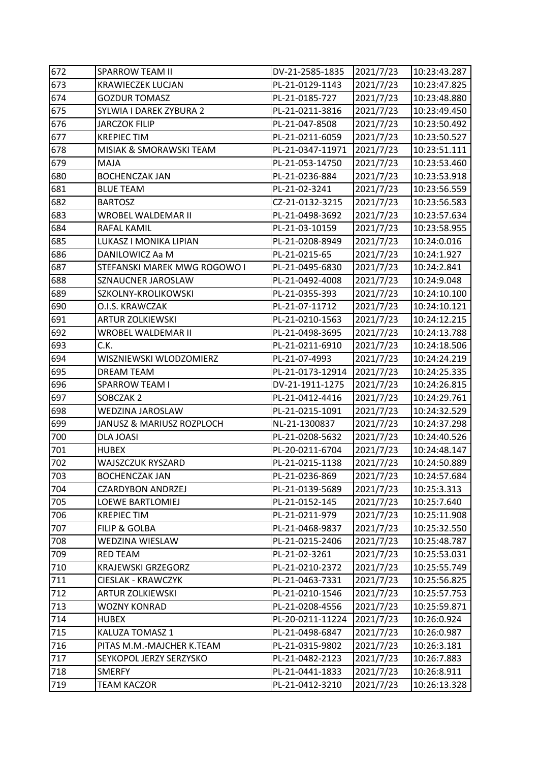| 672 | <b>SPARROW TEAM II</b>       | DV-21-2585-1835  | 2021/7/23 | 10:23:43.287 |
|-----|------------------------------|------------------|-----------|--------------|
| 673 | <b>KRAWIECZEK LUCJAN</b>     | PL-21-0129-1143  | 2021/7/23 | 10:23:47.825 |
| 674 | <b>GOZDUR TOMASZ</b>         | PL-21-0185-727   | 2021/7/23 | 10:23:48.880 |
| 675 | SYLWIA I DAREK ZYBURA 2      | PL-21-0211-3816  | 2021/7/23 | 10:23:49.450 |
| 676 | <b>JARCZOK FILIP</b>         | PL-21-047-8508   | 2021/7/23 | 10:23:50.492 |
| 677 | <b>KREPIECTIM</b>            | PL-21-0211-6059  | 2021/7/23 | 10:23:50.527 |
| 678 | MISIAK & SMORAWSKI TEAM      | PL-21-0347-11971 | 2021/7/23 | 10:23:51.111 |
| 679 | MAJA                         | PL-21-053-14750  | 2021/7/23 | 10:23:53.460 |
| 680 | <b>BOCHENCZAK JAN</b>        | PL-21-0236-884   | 2021/7/23 | 10:23:53.918 |
| 681 | <b>BLUE TEAM</b>             | PL-21-02-3241    | 2021/7/23 | 10:23:56.559 |
| 682 | <b>BARTOSZ</b>               | CZ-21-0132-3215  | 2021/7/23 | 10:23:56.583 |
| 683 | WROBEL WALDEMAR II           | PL-21-0498-3692  | 2021/7/23 | 10:23:57.634 |
| 684 | RAFAL KAMIL                  | PL-21-03-10159   | 2021/7/23 | 10:23:58.955 |
| 685 | LUKASZ I MONIKA LIPIAN       | PL-21-0208-8949  | 2021/7/23 | 10:24:0.016  |
| 686 | DANILOWICZ Aa M              | PL-21-0215-65    | 2021/7/23 | 10:24:1.927  |
| 687 | STEFANSKI MAREK MWG ROGOWO I | PL-21-0495-6830  | 2021/7/23 | 10:24:2.841  |
| 688 | SZNAUCNER JAROSLAW           | PL-21-0492-4008  | 2021/7/23 | 10:24:9.048  |
| 689 | SZKOLNY-KROLIKOWSKI          | PL-21-0355-393   | 2021/7/23 | 10:24:10.100 |
| 690 | O.I.S. KRAWCZAK              | PL-21-07-11712   | 2021/7/23 | 10:24:10.121 |
| 691 | <b>ARTUR ZOLKIEWSKI</b>      | PL-21-0210-1563  | 2021/7/23 | 10:24:12.215 |
| 692 | WROBEL WALDEMAR II           | PL-21-0498-3695  | 2021/7/23 | 10:24:13.788 |
| 693 | C.K.                         | PL-21-0211-6910  | 2021/7/23 | 10:24:18.506 |
| 694 | WISZNIEWSKI WLODZOMIERZ      | PL-21-07-4993    | 2021/7/23 | 10:24:24.219 |
| 695 | <b>DREAM TEAM</b>            | PL-21-0173-12914 | 2021/7/23 | 10:24:25.335 |
| 696 | <b>SPARROW TEAM I</b>        | DV-21-1911-1275  | 2021/7/23 | 10:24:26.815 |
| 697 | SOBCZAK 2                    | PL-21-0412-4416  | 2021/7/23 | 10:24:29.761 |
| 698 | WEDZINA JAROSLAW             | PL-21-0215-1091  | 2021/7/23 | 10:24:32.529 |
| 699 | JANUSZ & MARIUSZ ROZPLOCH    | NL-21-1300837    | 2021/7/23 | 10:24:37.298 |
| 700 | <b>DLA JOASI</b>             | PL-21-0208-5632  | 2021/7/23 | 10:24:40.526 |
| 701 | <b>HUBEX</b>                 | PL-20-0211-6704  | 2021/7/23 | 10:24:48.147 |
| 702 | WAJSZCZUK RYSZARD            | PL-21-0215-1138  | 2021/7/23 | 10:24:50.889 |
| 703 | <b>BOCHENCZAK JAN</b>        | PL-21-0236-869   | 2021/7/23 | 10:24:57.684 |
| 704 | <b>CZARDYBON ANDRZEJ</b>     | PL-21-0139-5689  | 2021/7/23 | 10:25:3.313  |
| 705 | <b>LOEWE BARTLOMIEJ</b>      | PL-21-0152-145   | 2021/7/23 | 10:25:7.640  |
| 706 | <b>KREPIECTIM</b>            | PL-21-0211-979   | 2021/7/23 | 10:25:11.908 |
| 707 | <b>FILIP &amp; GOLBA</b>     | PL-21-0468-9837  | 2021/7/23 | 10:25:32.550 |
| 708 | WEDZINA WIESLAW              | PL-21-0215-2406  | 2021/7/23 | 10:25:48.787 |
| 709 | <b>RED TEAM</b>              | PL-21-02-3261    | 2021/7/23 | 10:25:53.031 |
| 710 | <b>KRAJEWSKI GRZEGORZ</b>    | PL-21-0210-2372  | 2021/7/23 | 10:25:55.749 |
| 711 | CIESLAK - KRAWCZYK           | PL-21-0463-7331  | 2021/7/23 | 10:25:56.825 |
| 712 | <b>ARTUR ZOLKIEWSKI</b>      | PL-21-0210-1546  | 2021/7/23 | 10:25:57.753 |
| 713 | <b>WOZNY KONRAD</b>          | PL-21-0208-4556  | 2021/7/23 | 10:25:59.871 |
| 714 | <b>HUBEX</b>                 | PL-20-0211-11224 | 2021/7/23 | 10:26:0.924  |
| 715 | KALUZA TOMASZ 1              | PL-21-0498-6847  | 2021/7/23 | 10:26:0.987  |
| 716 | PITAS M.M.-MAJCHER K.TEAM    | PL-21-0315-9802  | 2021/7/23 | 10:26:3.181  |
| 717 | SEYKOPOL JERZY SERZYSKO      | PL-21-0482-2123  | 2021/7/23 | 10:26:7.883  |
| 718 | <b>SMERFY</b>                | PL-21-0441-1833  | 2021/7/23 | 10:26:8.911  |
| 719 | <b>TEAM KACZOR</b>           | PL-21-0412-3210  | 2021/7/23 | 10:26:13.328 |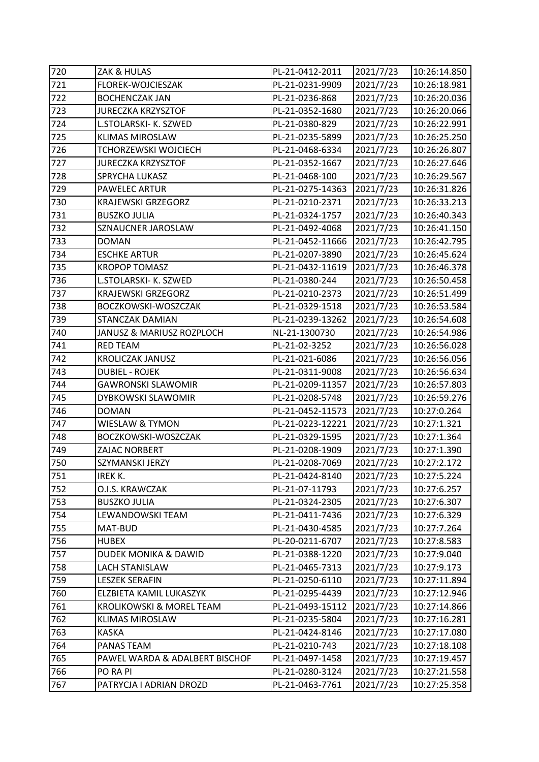| 720 | ZAK & HULAS                    | PL-21-0412-2011  | 2021/7/23 | 10:26:14.850 |
|-----|--------------------------------|------------------|-----------|--------------|
| 721 | FLOREK-WOJCIESZAK              | PL-21-0231-9909  | 2021/7/23 | 10:26:18.981 |
| 722 | <b>BOCHENCZAK JAN</b>          | PL-21-0236-868   | 2021/7/23 | 10:26:20.036 |
| 723 | <b>JURECZKA KRZYSZTOF</b>      | PL-21-0352-1680  | 2021/7/23 | 10:26:20.066 |
| 724 | L.STOLARSKI- K. SZWED          | PL-21-0380-829   | 2021/7/23 | 10:26:22.991 |
| 725 | <b>KLIMAS MIROSLAW</b>         | PL-21-0235-5899  | 2021/7/23 | 10:26:25.250 |
| 726 | TCHORZEWSKI WOJCIECH           | PL-21-0468-6334  | 2021/7/23 | 10:26:26.807 |
| 727 | <b>JURECZKA KRZYSZTOF</b>      | PL-21-0352-1667  | 2021/7/23 | 10:26:27.646 |
| 728 | SPRYCHA LUKASZ                 | PL-21-0468-100   | 2021/7/23 | 10:26:29.567 |
| 729 | PAWELEC ARTUR                  | PL-21-0275-14363 | 2021/7/23 | 10:26:31.826 |
| 730 | <b>KRAJEWSKI GRZEGORZ</b>      | PL-21-0210-2371  | 2021/7/23 | 10:26:33.213 |
| 731 | <b>BUSZKO JULIA</b>            | PL-21-0324-1757  | 2021/7/23 | 10:26:40.343 |
| 732 | SZNAUCNER JAROSLAW             | PL-21-0492-4068  | 2021/7/23 | 10:26:41.150 |
| 733 | <b>DOMAN</b>                   | PL-21-0452-11666 | 2021/7/23 | 10:26:42.795 |
| 734 | <b>ESCHKE ARTUR</b>            | PL-21-0207-3890  | 2021/7/23 | 10:26:45.624 |
| 735 | <b>KROPOP TOMASZ</b>           | PL-21-0432-11619 | 2021/7/23 | 10:26:46.378 |
| 736 | L.STOLARSKI- K. SZWED          | PL-21-0380-244   | 2021/7/23 | 10:26:50.458 |
| 737 | <b>KRAJEWSKI GRZEGORZ</b>      | PL-21-0210-2373  | 2021/7/23 | 10:26:51.499 |
| 738 | BOCZKOWSKI-WOSZCZAK            | PL-21-0329-1518  | 2021/7/23 | 10:26:53.584 |
| 739 | STANCZAK DAMIAN                | PL-21-0239-13262 | 2021/7/23 | 10:26:54.608 |
| 740 | JANUSZ & MARIUSZ ROZPLOCH      | NL-21-1300730    | 2021/7/23 | 10:26:54.986 |
| 741 | <b>RED TEAM</b>                | PL-21-02-3252    | 2021/7/23 | 10:26:56.028 |
| 742 | <b>KROLICZAK JANUSZ</b>        | PL-21-021-6086   | 2021/7/23 | 10:26:56.056 |
| 743 | <b>DUBIEL - ROJEK</b>          | PL-21-0311-9008  | 2021/7/23 | 10:26:56.634 |
| 744 | <b>GAWRONSKI SLAWOMIR</b>      | PL-21-0209-11357 | 2021/7/23 | 10:26:57.803 |
| 745 | DYBKOWSKI SLAWOMIR             | PL-21-0208-5748  | 2021/7/23 | 10:26:59.276 |
| 746 | <b>DOMAN</b>                   | PL-21-0452-11573 | 2021/7/23 | 10:27:0.264  |
| 747 | WIESLAW & TYMON                | PL-21-0223-12221 | 2021/7/23 | 10:27:1.321  |
| 748 | BOCZKOWSKI-WOSZCZAK            | PL-21-0329-1595  | 2021/7/23 | 10:27:1.364  |
| 749 | ZAJAC NORBERT                  | PL-21-0208-1909  | 2021/7/23 | 10:27:1.390  |
| 750 | SZYMANSKI JERZY                | PL-21-0208-7069  | 2021/7/23 | 10:27:2.172  |
| 751 | IREK K.                        | PL-21-0424-8140  | 2021/7/23 | 10:27:5.224  |
| 752 | O.I.S. KRAWCZAK                | PL-21-07-11793   | 2021/7/23 | 10:27:6.257  |
| 753 | <b>BUSZKO JULIA</b>            | PL-21-0324-2305  | 2021/7/23 | 10:27:6.307  |
| 754 | LEWANDOWSKI TEAM               | PL-21-0411-7436  | 2021/7/23 | 10:27:6.329  |
| 755 | MAT-BUD                        | PL-21-0430-4585  | 2021/7/23 | 10:27:7.264  |
| 756 | <b>HUBEX</b>                   | PL-20-0211-6707  | 2021/7/23 | 10:27:8.583  |
| 757 | DUDEK MONIKA & DAWID           | PL-21-0388-1220  | 2021/7/23 | 10:27:9.040  |
| 758 | <b>LACH STANISLAW</b>          | PL-21-0465-7313  | 2021/7/23 | 10:27:9.173  |
| 759 | <b>LESZEK SERAFIN</b>          | PL-21-0250-6110  | 2021/7/23 | 10:27:11.894 |
| 760 | ELZBIETA KAMIL LUKASZYK        | PL-21-0295-4439  | 2021/7/23 | 10:27:12.946 |
| 761 | KROLIKOWSKI & MOREL TEAM       | PL-21-0493-15112 | 2021/7/23 | 10:27:14.866 |
| 762 | <b>KLIMAS MIROSLAW</b>         | PL-21-0235-5804  | 2021/7/23 | 10:27:16.281 |
| 763 | <b>KASKA</b>                   | PL-21-0424-8146  | 2021/7/23 | 10:27:17.080 |
| 764 | PANAS TEAM                     | PL-21-0210-743   | 2021/7/23 | 10:27:18.108 |
| 765 | PAWEL WARDA & ADALBERT BISCHOF | PL-21-0497-1458  | 2021/7/23 | 10:27:19.457 |
| 766 | PO RA PI                       | PL-21-0280-3124  | 2021/7/23 | 10:27:21.558 |
| 767 | PATRYCJA I ADRIAN DROZD        | PL-21-0463-7761  | 2021/7/23 | 10:27:25.358 |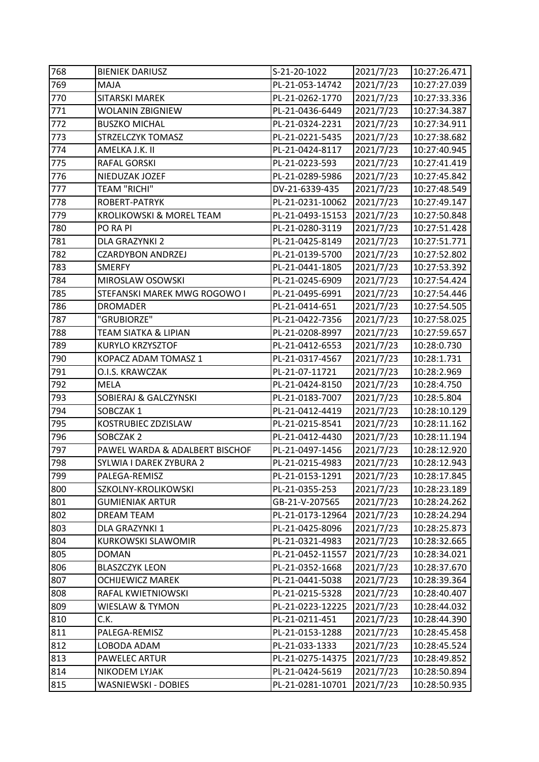| 768 | <b>BIENIEK DARIUSZ</b>              | S-21-20-1022     | 2021/7/23 | 10:27:26.471 |
|-----|-------------------------------------|------------------|-----------|--------------|
| 769 | MAJA                                | PL-21-053-14742  | 2021/7/23 | 10:27:27.039 |
| 770 | <b>SITARSKI MAREK</b>               | PL-21-0262-1770  | 2021/7/23 | 10:27:33.336 |
| 771 | WOLANIN ZBIGNIEW                    | PL-21-0436-6449  | 2021/7/23 | 10:27:34.387 |
| 772 | <b>BUSZKO MICHAL</b>                | PL-21-0324-2231  | 2021/7/23 | 10:27:34.911 |
| 773 | STRZELCZYK TOMASZ                   | PL-21-0221-5435  | 2021/7/23 | 10:27:38.682 |
| 774 | AMELKA J.K. II                      | PL-21-0424-8117  | 2021/7/23 | 10:27:40.945 |
| 775 | RAFAL GORSKI                        | PL-21-0223-593   | 2021/7/23 | 10:27:41.419 |
| 776 | NIEDUZAK JOZEF                      | PL-21-0289-5986  | 2021/7/23 | 10:27:45.842 |
| 777 | <b>TEAM "RICHI"</b>                 | DV-21-6339-435   | 2021/7/23 | 10:27:48.549 |
| 778 | ROBERT-PATRYK                       | PL-21-0231-10062 | 2021/7/23 | 10:27:49.147 |
| 779 | <b>KROLIKOWSKI &amp; MOREL TEAM</b> | PL-21-0493-15153 | 2021/7/23 | 10:27:50.848 |
| 780 | PO RA PI                            | PL-21-0280-3119  | 2021/7/23 | 10:27:51.428 |
| 781 | DLA GRAZYNKI 2                      | PL-21-0425-8149  | 2021/7/23 | 10:27:51.771 |
| 782 | <b>CZARDYBON ANDRZEJ</b>            | PL-21-0139-5700  | 2021/7/23 | 10:27:52.802 |
| 783 | SMERFY                              | PL-21-0441-1805  | 2021/7/23 | 10:27:53.392 |
| 784 | MIROSLAW OSOWSKI                    | PL-21-0245-6909  | 2021/7/23 | 10:27:54.424 |
| 785 | STEFANSKI MAREK MWG ROGOWO I        | PL-21-0495-6991  | 2021/7/23 | 10:27:54.446 |
| 786 | <b>DROMADER</b>                     | PL-21-0414-651   | 2021/7/23 | 10:27:54.505 |
| 787 | "GRUBIORZE"                         | PL-21-0422-7356  | 2021/7/23 | 10:27:58.025 |
| 788 | TEAM SIATKA & LIPIAN                | PL-21-0208-8997  | 2021/7/23 | 10:27:59.657 |
| 789 | <b>KURYLO KRZYSZTOF</b>             | PL-21-0412-6553  | 2021/7/23 | 10:28:0.730  |
| 790 | KOPACZ ADAM TOMASZ 1                | PL-21-0317-4567  | 2021/7/23 | 10:28:1.731  |
| 791 | O.I.S. KRAWCZAK                     | PL-21-07-11721   | 2021/7/23 | 10:28:2.969  |
| 792 | MELA                                | PL-21-0424-8150  | 2021/7/23 | 10:28:4.750  |
| 793 | SOBIERAJ & GALCZYNSKI               | PL-21-0183-7007  | 2021/7/23 | 10:28:5.804  |
| 794 | SOBCZAK 1                           | PL-21-0412-4419  | 2021/7/23 | 10:28:10.129 |
| 795 | KOSTRUBIEC ZDZISLAW                 | PL-21-0215-8541  | 2021/7/23 | 10:28:11.162 |
| 796 | SOBCZAK 2                           | PL-21-0412-4430  | 2021/7/23 | 10:28:11.194 |
| 797 | PAWEL WARDA & ADALBERT BISCHOF      | PL-21-0497-1456  | 2021/7/23 | 10:28:12.920 |
| 798 | SYLWIA I DAREK ZYBURA 2             | PL-21-0215-4983  | 2021/7/23 | 10:28:12.943 |
| 799 | PALEGA-REMISZ                       | PL-21-0153-1291  | 2021/7/23 | 10:28:17.845 |
| 800 | SZKOLNY-KROLIKOWSKI                 | PL-21-0355-253   | 2021/7/23 | 10:28:23.189 |
| 801 | <b>GUMIENIAK ARTUR</b>              | GB-21-V-207565   | 2021/7/23 | 10:28:24.262 |
| 802 | DREAM TEAM                          | PL-21-0173-12964 | 2021/7/23 | 10:28:24.294 |
| 803 | DLA GRAZYNKI 1                      | PL-21-0425-8096  | 2021/7/23 | 10:28:25.873 |
| 804 | <b>KURKOWSKI SLAWOMIR</b>           | PL-21-0321-4983  | 2021/7/23 | 10:28:32.665 |
| 805 | <b>DOMAN</b>                        | PL-21-0452-11557 | 2021/7/23 | 10:28:34.021 |
| 806 | <b>BLASZCZYK LEON</b>               | PL-21-0352-1668  | 2021/7/23 | 10:28:37.670 |
| 807 | <b>OCHIJEWICZ MAREK</b>             | PL-21-0441-5038  | 2021/7/23 | 10:28:39.364 |
| 808 | RAFAL KWIETNIOWSKI                  | PL-21-0215-5328  | 2021/7/23 | 10:28:40.407 |
| 809 | <b>WIESLAW &amp; TYMON</b>          | PL-21-0223-12225 | 2021/7/23 | 10:28:44.032 |
| 810 | C.K.                                | PL-21-0211-451   | 2021/7/23 | 10:28:44.390 |
| 811 | PALEGA-REMISZ                       | PL-21-0153-1288  | 2021/7/23 | 10:28:45.458 |
| 812 | LOBODA ADAM                         | PL-21-033-1333   | 2021/7/23 | 10:28:45.524 |
| 813 | PAWELEC ARTUR                       | PL-21-0275-14375 | 2021/7/23 | 10:28:49.852 |
| 814 | NIKODEM LYJAK                       | PL-21-0424-5619  | 2021/7/23 | 10:28:50.894 |
| 815 | WASNIEWSKI - DOBIES                 | PL-21-0281-10701 | 2021/7/23 | 10:28:50.935 |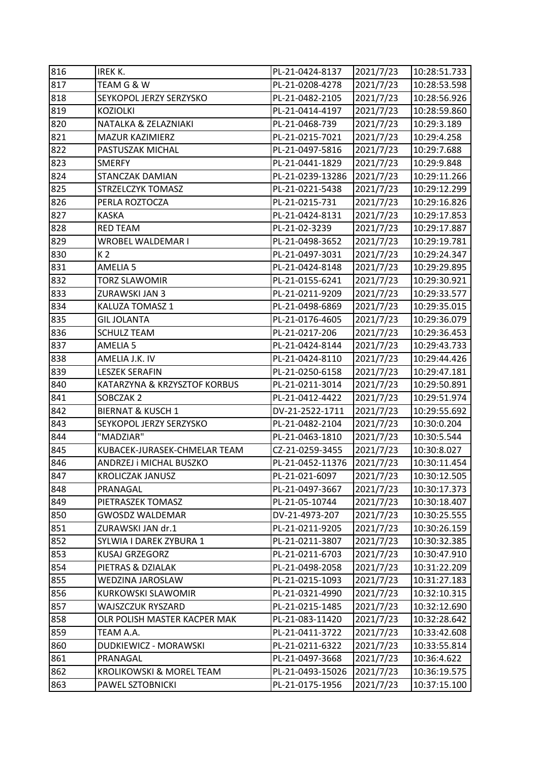| 816 | IREK K.                             | PL-21-0424-8137  | 2021/7/23 | 10:28:51.733 |
|-----|-------------------------------------|------------------|-----------|--------------|
| 817 | TEAM G & W                          | PL-21-0208-4278  | 2021/7/23 | 10:28:53.598 |
| 818 | SEYKOPOL JERZY SERZYSKO             | PL-21-0482-2105  | 2021/7/23 | 10:28:56.926 |
| 819 | <b>KOZIOLKI</b>                     | PL-21-0414-4197  | 2021/7/23 | 10:28:59.860 |
| 820 | NATALKA & ZELAZNIAKI                | PL-21-0468-739   | 2021/7/23 | 10:29:3.189  |
| 821 | MAZUR KAZIMIERZ                     | PL-21-0215-7021  | 2021/7/23 | 10:29:4.258  |
| 822 | PASTUSZAK MICHAL                    | PL-21-0497-5816  | 2021/7/23 | 10:29:7.688  |
| 823 | <b>SMERFY</b>                       | PL-21-0441-1829  | 2021/7/23 | 10:29:9.848  |
| 824 | <b>STANCZAK DAMIAN</b>              | PL-21-0239-13286 | 2021/7/23 | 10:29:11.266 |
| 825 | <b>STRZELCZYK TOMASZ</b>            | PL-21-0221-5438  | 2021/7/23 | 10:29:12.299 |
| 826 | PERLA ROZTOCZA                      | PL-21-0215-731   | 2021/7/23 | 10:29:16.826 |
| 827 | <b>KASKA</b>                        | PL-21-0424-8131  | 2021/7/23 | 10:29:17.853 |
| 828 | <b>RED TEAM</b>                     | PL-21-02-3239    | 2021/7/23 | 10:29:17.887 |
| 829 | WROBEL WALDEMAR I                   | PL-21-0498-3652  | 2021/7/23 | 10:29:19.781 |
| 830 | K <sub>2</sub>                      | PL-21-0497-3031  | 2021/7/23 | 10:29:24.347 |
| 831 | <b>AMELIA 5</b>                     | PL-21-0424-8148  | 2021/7/23 | 10:29:29.895 |
| 832 | <b>TORZ SLAWOMIR</b>                | PL-21-0155-6241  | 2021/7/23 | 10:29:30.921 |
| 833 | ZURAWSKI JAN 3                      | PL-21-0211-9209  | 2021/7/23 | 10:29:33.577 |
| 834 | <b>KALUZA TOMASZ 1</b>              | PL-21-0498-6869  | 2021/7/23 | 10:29:35.015 |
| 835 | <b>GIL JOLANTA</b>                  | PL-21-0176-4605  | 2021/7/23 | 10:29:36.079 |
| 836 | <b>SCHULZ TEAM</b>                  | PL-21-0217-206   | 2021/7/23 | 10:29:36.453 |
| 837 | <b>AMELIA 5</b>                     | PL-21-0424-8144  | 2021/7/23 | 10:29:43.733 |
| 838 | AMELIA J.K. IV                      | PL-21-0424-8110  | 2021/7/23 | 10:29:44.426 |
| 839 | <b>LESZEK SERAFIN</b>               | PL-21-0250-6158  | 2021/7/23 | 10:29:47.181 |
| 840 | KATARZYNA & KRZYSZTOF KORBUS        | PL-21-0211-3014  | 2021/7/23 | 10:29:50.891 |
| 841 | SOBCZAK 2                           | PL-21-0412-4422  | 2021/7/23 | 10:29:51.974 |
| 842 | <b>BIERNAT &amp; KUSCH 1</b>        | DV-21-2522-1711  | 2021/7/23 | 10:29:55.692 |
| 843 | SEYKOPOL JERZY SERZYSKO             | PL-21-0482-2104  | 2021/7/23 | 10:30:0.204  |
| 844 | "MADZIAR"                           | PL-21-0463-1810  | 2021/7/23 | 10:30:5.544  |
| 845 | KUBACEK-JURASEK-CHMELAR TEAM        | CZ-21-0259-3455  | 2021/7/23 | 10:30:8.027  |
| 846 | ANDRZEJ i MICHAL BUSZKO             | PL-21-0452-11376 | 2021/7/23 | 10:30:11.454 |
| 847 | <b>KROLICZAK JANUSZ</b>             | PL-21-021-6097   | 2021/7/23 | 10:30:12.505 |
| 848 | PRANAGAL                            | PL-21-0497-3667  | 2021/7/23 | 10:30:17.373 |
| 849 | PIETRASZEK TOMASZ                   | PL-21-05-10744   | 2021/7/23 | 10:30:18.407 |
| 850 | <b>GWOSDZ WALDEMAR</b>              | DV-21-4973-207   | 2021/7/23 | 10:30:25.555 |
| 851 | ZURAWSKI JAN dr.1                   | PL-21-0211-9205  | 2021/7/23 | 10:30:26.159 |
| 852 | SYLWIA I DAREK ZYBURA 1             | PL-21-0211-3807  | 2021/7/23 | 10:30:32.385 |
| 853 | <b>KUSAJ GRZEGORZ</b>               | PL-21-0211-6703  | 2021/7/23 | 10:30:47.910 |
| 854 | PIETRAS & DZIALAK                   | PL-21-0498-2058  | 2021/7/23 | 10:31:22.209 |
| 855 | WEDZINA JAROSLAW                    | PL-21-0215-1093  | 2021/7/23 | 10:31:27.183 |
| 856 | <b>KURKOWSKI SLAWOMIR</b>           | PL-21-0321-4990  | 2021/7/23 | 10:32:10.315 |
| 857 | WAJSZCZUK RYSZARD                   | PL-21-0215-1485  | 2021/7/23 | 10:32:12.690 |
| 858 | OLR POLISH MASTER KACPER MAK        | PL-21-083-11420  | 2021/7/23 | 10:32:28.642 |
| 859 | TEAM A.A.                           | PL-21-0411-3722  | 2021/7/23 | 10:33:42.608 |
| 860 | DUDKIEWICZ - MORAWSKI               | PL-21-0211-6322  | 2021/7/23 | 10:33:55.814 |
| 861 | PRANAGAL                            | PL-21-0497-3668  | 2021/7/23 | 10:36:4.622  |
| 862 | <b>KROLIKOWSKI &amp; MOREL TEAM</b> | PL-21-0493-15026 | 2021/7/23 | 10:36:19.575 |
| 863 | PAWEL SZTOBNICKI                    | PL-21-0175-1956  | 2021/7/23 | 10:37:15.100 |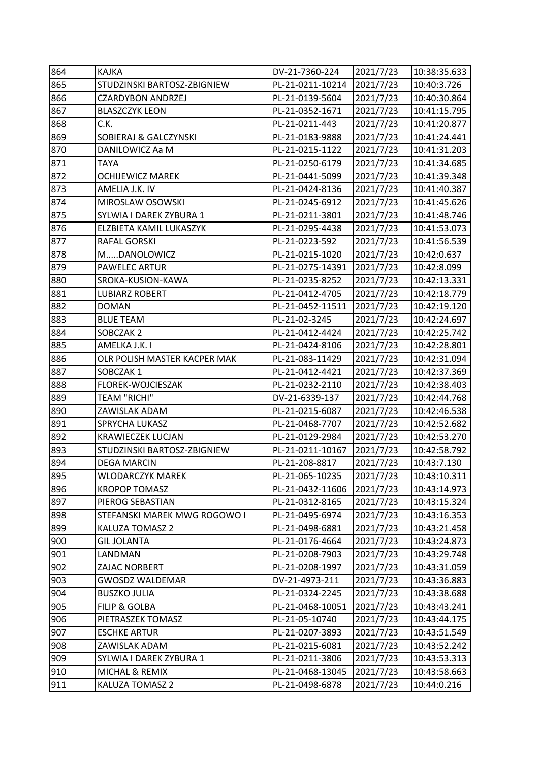| 864 | <b>KAJKA</b>                 | DV-21-7360-224   | 2021/7/23 | 10:38:35.633 |
|-----|------------------------------|------------------|-----------|--------------|
| 865 | STUDZINSKI BARTOSZ-ZBIGNIEW  | PL-21-0211-10214 | 2021/7/23 | 10:40:3.726  |
| 866 | <b>CZARDYBON ANDRZEJ</b>     | PL-21-0139-5604  | 2021/7/23 | 10:40:30.864 |
| 867 | <b>BLASZCZYK LEON</b>        | PL-21-0352-1671  | 2021/7/23 | 10:41:15.795 |
| 868 | C.K.                         | PL-21-0211-443   | 2021/7/23 | 10:41:20.877 |
| 869 | SOBIERAJ & GALCZYNSKI        | PL-21-0183-9888  | 2021/7/23 | 10:41:24.441 |
| 870 | DANILOWICZ Aa M              | PL-21-0215-1122  | 2021/7/23 | 10:41:31.203 |
| 871 | TAYA                         | PL-21-0250-6179  | 2021/7/23 | 10:41:34.685 |
| 872 | <b>OCHIJEWICZ MAREK</b>      | PL-21-0441-5099  | 2021/7/23 | 10:41:39.348 |
| 873 | AMELIA J.K. IV               | PL-21-0424-8136  | 2021/7/23 | 10:41:40.387 |
| 874 | MIROSLAW OSOWSKI             | PL-21-0245-6912  | 2021/7/23 | 10:41:45.626 |
| 875 | SYLWIA I DAREK ZYBURA 1      | PL-21-0211-3801  | 2021/7/23 | 10:41:48.746 |
| 876 | ELZBIETA KAMIL LUKASZYK      | PL-21-0295-4438  | 2021/7/23 | 10:41:53.073 |
| 877 | <b>RAFAL GORSKI</b>          | PL-21-0223-592   | 2021/7/23 | 10:41:56.539 |
| 878 | MDANOLOWICZ                  | PL-21-0215-1020  | 2021/7/23 | 10:42:0.637  |
| 879 | <b>PAWELEC ARTUR</b>         | PL-21-0275-14391 | 2021/7/23 | 10:42:8.099  |
| 880 | SROKA-KUSION-KAWA            | PL-21-0235-8252  | 2021/7/23 | 10:42:13.331 |
| 881 | <b>LUBIARZ ROBERT</b>        | PL-21-0412-4705  | 2021/7/23 | 10:42:18.779 |
| 882 | <b>DOMAN</b>                 | PL-21-0452-11511 | 2021/7/23 | 10:42:19.120 |
| 883 | <b>BLUE TEAM</b>             | PL-21-02-3245    | 2021/7/23 | 10:42:24.697 |
| 884 | SOBCZAK 2                    | PL-21-0412-4424  | 2021/7/23 | 10:42:25.742 |
| 885 | AMELKA J.K. I                | PL-21-0424-8106  | 2021/7/23 | 10:42:28.801 |
| 886 | OLR POLISH MASTER KACPER MAK | PL-21-083-11429  | 2021/7/23 | 10:42:31.094 |
| 887 | SOBCZAK1                     | PL-21-0412-4421  | 2021/7/23 | 10:42:37.369 |
| 888 | FLOREK-WOJCIESZAK            | PL-21-0232-2110  | 2021/7/23 | 10:42:38.403 |
| 889 | TEAM "RICHI"                 | DV-21-6339-137   | 2021/7/23 | 10:42:44.768 |
| 890 | ZAWISLAK ADAM                | PL-21-0215-6087  | 2021/7/23 | 10:42:46.538 |
| 891 | SPRYCHA LUKASZ               | PL-21-0468-7707  | 2021/7/23 | 10:42:52.682 |
| 892 | <b>KRAWIECZEK LUCJAN</b>     | PL-21-0129-2984  | 2021/7/23 | 10:42:53.270 |
| 893 | STUDZINSKI BARTOSZ-ZBIGNIEW  | PL-21-0211-10167 | 2021/7/23 | 10:42:58.792 |
| 894 | <b>DEGA MARCIN</b>           | PL-21-208-8817   | 2021/7/23 | 10:43:7.130  |
| 895 | WLODARCZYK MAREK             | PL-21-065-10235  | 2021/7/23 | 10:43:10.311 |
| 896 | <b>KROPOP TOMASZ</b>         | PL-21-0432-11606 | 2021/7/23 | 10:43:14.973 |
| 897 | PIEROG SEBASTIAN             | PL-21-0312-8165  | 2021/7/23 | 10:43:15.324 |
| 898 | STEFANSKI MAREK MWG ROGOWO I | PL-21-0495-6974  | 2021/7/23 | 10:43:16.353 |
| 899 | KALUZA TOMASZ 2              | PL-21-0498-6881  | 2021/7/23 | 10:43:21.458 |
| 900 | <b>GIL JOLANTA</b>           | PL-21-0176-4664  | 2021/7/23 | 10:43:24.873 |
| 901 | LANDMAN                      | PL-21-0208-7903  | 2021/7/23 | 10:43:29.748 |
| 902 | ZAJAC NORBERT                | PL-21-0208-1997  | 2021/7/23 | 10:43:31.059 |
| 903 | <b>GWOSDZ WALDEMAR</b>       | DV-21-4973-211   | 2021/7/23 | 10:43:36.883 |
| 904 | <b>BUSZKO JULIA</b>          | PL-21-0324-2245  | 2021/7/23 | 10:43:38.688 |
| 905 | <b>FILIP &amp; GOLBA</b>     | PL-21-0468-10051 | 2021/7/23 | 10:43:43.241 |
| 906 | PIETRASZEK TOMASZ            | PL-21-05-10740   | 2021/7/23 | 10:43:44.175 |
| 907 | <b>ESCHKE ARTUR</b>          | PL-21-0207-3893  | 2021/7/23 | 10:43:51.549 |
| 908 | ZAWISLAK ADAM                | PL-21-0215-6081  | 2021/7/23 | 10:43:52.242 |
| 909 | SYLWIA I DAREK ZYBURA 1      | PL-21-0211-3806  | 2021/7/23 | 10:43:53.313 |
| 910 | MICHAL & REMIX               | PL-21-0468-13045 | 2021/7/23 | 10:43:58.663 |
| 911 | KALUZA TOMASZ 2              | PL-21-0498-6878  | 2021/7/23 | 10:44:0.216  |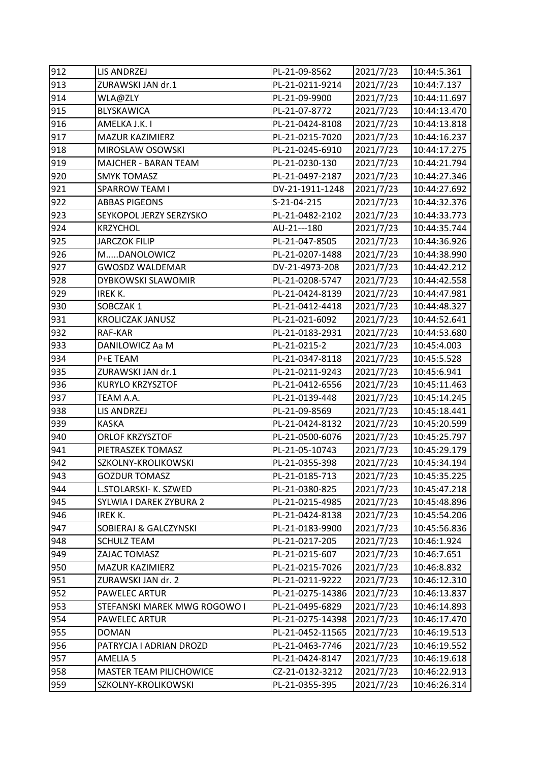| 912 | LIS ANDRZEJ                    | PL-21-09-8562    | 2021/7/23 | 10:44:5.361  |
|-----|--------------------------------|------------------|-----------|--------------|
| 913 | ZURAWSKI JAN dr.1              | PL-21-0211-9214  | 2021/7/23 | 10:44:7.137  |
| 914 | WLA@ZLY                        | PL-21-09-9900    | 2021/7/23 | 10:44:11.697 |
| 915 | <b>BLYSKAWICA</b>              | PL-21-07-8772    | 2021/7/23 | 10:44:13.470 |
| 916 | AMELKA J.K. I                  | PL-21-0424-8108  | 2021/7/23 | 10:44:13.818 |
| 917 | MAZUR KAZIMIERZ                | PL-21-0215-7020  | 2021/7/23 | 10:44:16.237 |
| 918 | MIROSLAW OSOWSKI               | PL-21-0245-6910  | 2021/7/23 | 10:44:17.275 |
| 919 | MAJCHER - BARAN TEAM           | PL-21-0230-130   | 2021/7/23 | 10:44:21.794 |
| 920 | <b>SMYK TOMASZ</b>             | PL-21-0497-2187  | 2021/7/23 | 10:44:27.346 |
| 921 | <b>SPARROW TEAM I</b>          | DV-21-1911-1248  | 2021/7/23 | 10:44:27.692 |
| 922 | <b>ABBAS PIGEONS</b>           | S-21-04-215      | 2021/7/23 | 10:44:32.376 |
| 923 | SEYKOPOL JERZY SERZYSKO        | PL-21-0482-2102  | 2021/7/23 | 10:44:33.773 |
| 924 | <b>KRZYCHOL</b>                | AU-21---180      | 2021/7/23 | 10:44:35.744 |
| 925 | <b>JARCZOK FILIP</b>           | PL-21-047-8505   | 2021/7/23 | 10:44:36.926 |
| 926 | MDANOLOWICZ                    | PL-21-0207-1488  | 2021/7/23 | 10:44:38.990 |
| 927 | <b>GWOSDZ WALDEMAR</b>         | DV-21-4973-208   | 2021/7/23 | 10:44:42.212 |
| 928 | DYBKOWSKI SLAWOMIR             | PL-21-0208-5747  | 2021/7/23 | 10:44:42.558 |
| 929 | IREK K.                        | PL-21-0424-8139  | 2021/7/23 | 10:44:47.981 |
| 930 | SOBCZAK1                       | PL-21-0412-4418  | 2021/7/23 | 10:44:48.327 |
| 931 | <b>KROLICZAK JANUSZ</b>        | PL-21-021-6092   | 2021/7/23 | 10:44:52.641 |
| 932 | RAF-KAR                        | PL-21-0183-2931  | 2021/7/23 | 10:44:53.680 |
| 933 | DANILOWICZ Aa M                | PL-21-0215-2     | 2021/7/23 | 10:45:4.003  |
| 934 | P+E TEAM                       | PL-21-0347-8118  | 2021/7/23 | 10:45:5.528  |
| 935 | ZURAWSKI JAN dr.1              | PL-21-0211-9243  | 2021/7/23 | 10:45:6.941  |
| 936 | <b>KURYLO KRZYSZTOF</b>        | PL-21-0412-6556  | 2021/7/23 | 10:45:11.463 |
| 937 | TEAM A.A.                      | PL-21-0139-448   | 2021/7/23 | 10:45:14.245 |
| 938 | LIS ANDRZEJ                    | PL-21-09-8569    | 2021/7/23 | 10:45:18.441 |
| 939 | <b>KASKA</b>                   | PL-21-0424-8132  | 2021/7/23 | 10:45:20.599 |
| 940 | ORLOF KRZYSZTOF                | PL-21-0500-6076  | 2021/7/23 | 10:45:25.797 |
| 941 | PIETRASZEK TOMASZ              | PL-21-05-10743   | 2021/7/23 | 10:45:29.179 |
| 942 | SZKOLNY-KROLIKOWSKI            | PL-21-0355-398   | 2021/7/23 | 10:45:34.194 |
| 943 | <b>GOZDUR TOMASZ</b>           | PL-21-0185-713   | 2021/7/23 | 10:45:35.225 |
| 944 | L.STOLARSKI- K. SZWED          | PL-21-0380-825   | 2021/7/23 | 10:45:47.218 |
| 945 | SYLWIA I DAREK ZYBURA 2        | PL-21-0215-4985  | 2021/7/23 | 10:45:48.896 |
| 946 | IREK K.                        | PL-21-0424-8138  | 2021/7/23 | 10:45:54.206 |
| 947 | SOBIERAJ & GALCZYNSKI          | PL-21-0183-9900  | 2021/7/23 | 10:45:56.836 |
| 948 | <b>SCHULZ TEAM</b>             | PL-21-0217-205   | 2021/7/23 | 10:46:1.924  |
| 949 | ZAJAC TOMASZ                   | PL-21-0215-607   | 2021/7/23 | 10:46:7.651  |
| 950 | <b>MAZUR KAZIMIERZ</b>         | PL-21-0215-7026  | 2021/7/23 | 10:46:8.832  |
| 951 | ZURAWSKI JAN dr. 2             | PL-21-0211-9222  | 2021/7/23 | 10:46:12.310 |
| 952 | PAWELEC ARTUR                  | PL-21-0275-14386 | 2021/7/23 | 10:46:13.837 |
| 953 | STEFANSKI MAREK MWG ROGOWO I   | PL-21-0495-6829  | 2021/7/23 | 10:46:14.893 |
| 954 | PAWELEC ARTUR                  | PL-21-0275-14398 | 2021/7/23 | 10:46:17.470 |
| 955 | <b>DOMAN</b>                   | PL-21-0452-11565 | 2021/7/23 | 10:46:19.513 |
| 956 | PATRYCJA I ADRIAN DROZD        | PL-21-0463-7746  | 2021/7/23 | 10:46:19.552 |
| 957 | <b>AMELIA 5</b>                | PL-21-0424-8147  | 2021/7/23 | 10:46:19.618 |
| 958 | <b>MASTER TEAM PILICHOWICE</b> | CZ-21-0132-3212  | 2021/7/23 | 10:46:22.913 |
| 959 | SZKOLNY-KROLIKOWSKI            | PL-21-0355-395   | 2021/7/23 | 10:46:26.314 |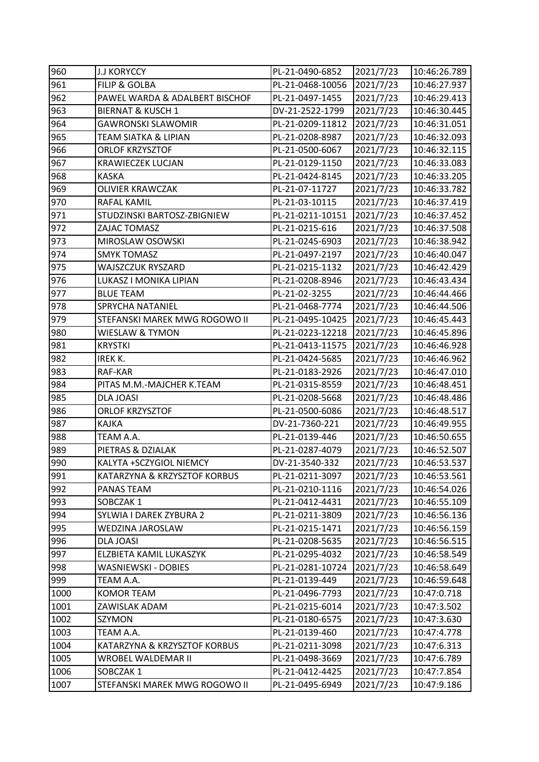| 960  | <b>J.J KORYCCY</b>             | PL-21-0490-6852  | 2021/7/23 | 10:46:26.789 |
|------|--------------------------------|------------------|-----------|--------------|
| 961  | <b>FILIP &amp; GOLBA</b>       | PL-21-0468-10056 | 2021/7/23 | 10:46:27.937 |
| 962  | PAWEL WARDA & ADALBERT BISCHOF | PL-21-0497-1455  | 2021/7/23 | 10:46:29.413 |
| 963  | <b>BIERNAT &amp; KUSCH 1</b>   | DV-21-2522-1799  | 2021/7/23 | 10:46:30.445 |
| 964  | <b>GAWRONSKI SLAWOMIR</b>      | PL-21-0209-11812 | 2021/7/23 | 10:46:31.051 |
| 965  | TEAM SIATKA & LIPIAN           | PL-21-0208-8987  | 2021/7/23 | 10:46:32.093 |
| 966  | ORLOF KRZYSZTOF                | PL-21-0500-6067  | 2021/7/23 | 10:46:32.115 |
| 967  | <b>KRAWIECZEK LUCJAN</b>       | PL-21-0129-1150  | 2021/7/23 | 10:46:33.083 |
| 968  | <b>KASKA</b>                   | PL-21-0424-8145  | 2021/7/23 | 10:46:33.205 |
| 969  | <b>OLIVIER KRAWCZAK</b>        | PL-21-07-11727   | 2021/7/23 | 10:46:33.782 |
| 970  | RAFAL KAMIL                    | PL-21-03-10115   | 2021/7/23 | 10:46:37.419 |
| 971  | STUDZINSKI BARTOSZ-ZBIGNIEW    | PL-21-0211-10151 | 2021/7/23 | 10:46:37.452 |
| 972  | ZAJAC TOMASZ                   | PL-21-0215-616   | 2021/7/23 | 10:46:37.508 |
| 973  | MIROSLAW OSOWSKI               | PL-21-0245-6903  | 2021/7/23 | 10:46:38.942 |
| 974  | <b>SMYK TOMASZ</b>             | PL-21-0497-2197  | 2021/7/23 | 10:46:40.047 |
| 975  | WAJSZCZUK RYSZARD              | PL-21-0215-1132  | 2021/7/23 | 10:46:42.429 |
| 976  | LUKASZ I MONIKA LIPIAN         | PL-21-0208-8946  | 2021/7/23 | 10:46:43.434 |
| 977  | <b>BLUE TEAM</b>               | PL-21-02-3255    | 2021/7/23 | 10:46:44.466 |
| 978  | <b>SPRYCHA NATANIEL</b>        | PL-21-0468-7774  | 2021/7/23 | 10:46:44.506 |
| 979  | STEFANSKI MAREK MWG ROGOWO II  | PL-21-0495-10425 | 2021/7/23 | 10:46:45.443 |
| 980  | <b>WIESLAW &amp; TYMON</b>     | PL-21-0223-12218 | 2021/7/23 | 10:46:45.896 |
| 981  | <b>KRYSTKI</b>                 | PL-21-0413-11575 | 2021/7/23 | 10:46:46.928 |
| 982  | IREK K.                        | PL-21-0424-5685  | 2021/7/23 | 10:46:46.962 |
| 983  | RAF-KAR                        | PL-21-0183-2926  | 2021/7/23 | 10:46:47.010 |
| 984  | PITAS M.M.-MAJCHER K.TEAM      | PL-21-0315-8559  | 2021/7/23 | 10:46:48.451 |
| 985  | <b>DLA JOASI</b>               | PL-21-0208-5668  | 2021/7/23 | 10:46:48.486 |
| 986  | ORLOF KRZYSZTOF                | PL-21-0500-6086  | 2021/7/23 | 10:46:48.517 |
| 987  | <b>KAJKA</b>                   | DV-21-7360-221   | 2021/7/23 | 10:46:49.955 |
| 988  | TEAM A.A.                      | PL-21-0139-446   | 2021/7/23 | 10:46:50.655 |
| 989  | PIETRAS & DZIALAK              | PL-21-0287-4079  | 2021/7/23 | 10:46:52.507 |
| 990  | KALYTA +SCZYGIOL NIEMCY        | DV-21-3540-332   | 2021/7/23 | 10:46:53.537 |
| 991  | KATARZYNA & KRZYSZTOF KORBUS   | PL-21-0211-3097  | 2021/7/23 | 10:46:53.561 |
| 992  | PANAS TEAM                     | PL-21-0210-1116  | 2021/7/23 | 10:46:54.026 |
| 993  | SOBCZAK1                       | PL-21-0412-4431  | 2021/7/23 | 10:46:55.109 |
| 994  | SYLWIA I DAREK ZYBURA 2        | PL-21-0211-3809  | 2021/7/23 | 10:46:56.136 |
| 995  | WEDZINA JAROSLAW               | PL-21-0215-1471  | 2021/7/23 | 10:46:56.159 |
| 996  | <b>DLA JOASI</b>               | PL-21-0208-5635  | 2021/7/23 | 10:46:56.515 |
| 997  | ELZBIETA KAMIL LUKASZYK        | PL-21-0295-4032  | 2021/7/23 | 10:46:58.549 |
| 998  | WASNIEWSKI - DOBIES            | PL-21-0281-10724 | 2021/7/23 | 10:46:58.649 |
| 999  | TEAM A.A.                      | PL-21-0139-449   | 2021/7/23 | 10:46:59.648 |
| 1000 | <b>KOMOR TEAM</b>              | PL-21-0496-7793  | 2021/7/23 | 10:47:0.718  |
| 1001 | ZAWISLAK ADAM                  | PL-21-0215-6014  | 2021/7/23 | 10:47:3.502  |
| 1002 | SZYMON                         | PL-21-0180-6575  | 2021/7/23 | 10:47:3.630  |
| 1003 | TEAM A.A.                      | PL-21-0139-460   | 2021/7/23 | 10:47:4.778  |
| 1004 | KATARZYNA & KRZYSZTOF KORBUS   | PL-21-0211-3098  | 2021/7/23 | 10:47:6.313  |
| 1005 | WROBEL WALDEMAR II             | PL-21-0498-3669  | 2021/7/23 | 10:47:6.789  |
| 1006 | SOBCZAK1                       | PL-21-0412-4425  | 2021/7/23 | 10:47:7.854  |
| 1007 | STEFANSKI MAREK MWG ROGOWO II  | PL-21-0495-6949  | 2021/7/23 | 10:47:9.186  |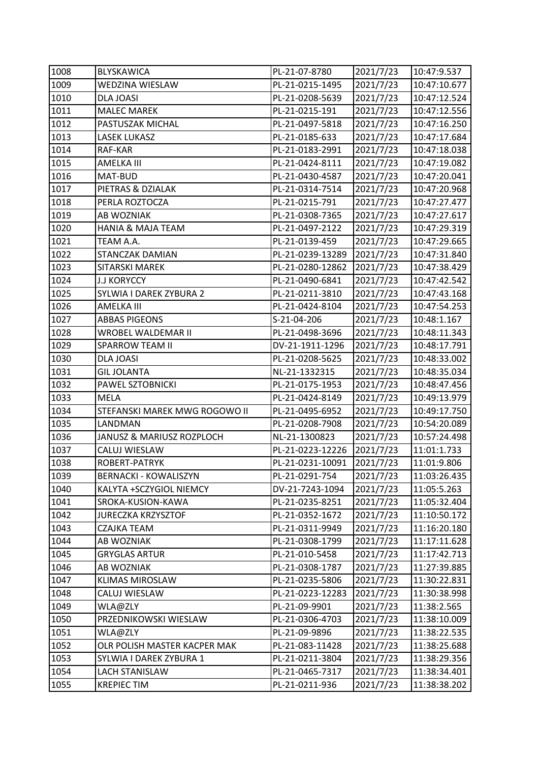| 1008 | <b>BLYSKAWICA</b>             | PL-21-07-8780    | 2021/7/23 | 10:47:9.537  |
|------|-------------------------------|------------------|-----------|--------------|
| 1009 | WEDZINA WIESLAW               | PL-21-0215-1495  | 2021/7/23 | 10:47:10.677 |
| 1010 | DLA JOASI                     | PL-21-0208-5639  | 2021/7/23 | 10:47:12.524 |
| 1011 | <b>MALEC MAREK</b>            | PL-21-0215-191   | 2021/7/23 | 10:47:12.556 |
| 1012 | PASTUSZAK MICHAL              | PL-21-0497-5818  | 2021/7/23 | 10:47:16.250 |
| 1013 | <b>LASEK LUKASZ</b>           | PL-21-0185-633   | 2021/7/23 | 10:47:17.684 |
| 1014 | RAF-KAR                       | PL-21-0183-2991  | 2021/7/23 | 10:47:18.038 |
| 1015 | AMELKA III                    | PL-21-0424-8111  | 2021/7/23 | 10:47:19.082 |
| 1016 | MAT-BUD                       | PL-21-0430-4587  | 2021/7/23 | 10:47:20.041 |
| 1017 | PIETRAS & DZIALAK             | PL-21-0314-7514  | 2021/7/23 | 10:47:20.968 |
| 1018 | PERLA ROZTOCZA                | PL-21-0215-791   | 2021/7/23 | 10:47:27.477 |
| 1019 | AB WOZNIAK                    | PL-21-0308-7365  | 2021/7/23 | 10:47:27.617 |
| 1020 | <b>HANIA &amp; MAJA TEAM</b>  | PL-21-0497-2122  | 2021/7/23 | 10:47:29.319 |
| 1021 | TEAM A.A.                     | PL-21-0139-459   | 2021/7/23 | 10:47:29.665 |
| 1022 | STANCZAK DAMIAN               | PL-21-0239-13289 | 2021/7/23 | 10:47:31.840 |
| 1023 | SITARSKI MAREK                | PL-21-0280-12862 | 2021/7/23 | 10:47:38.429 |
| 1024 | <b>J.J KORYCCY</b>            | PL-21-0490-6841  | 2021/7/23 | 10:47:42.542 |
| 1025 | SYLWIA I DAREK ZYBURA 2       | PL-21-0211-3810  | 2021/7/23 | 10:47:43.168 |
| 1026 | <b>AMELKA III</b>             | PL-21-0424-8104  | 2021/7/23 | 10:47:54.253 |
| 1027 | <b>ABBAS PIGEONS</b>          | S-21-04-206      | 2021/7/23 | 10:48:1.167  |
| 1028 | WROBEL WALDEMAR II            | PL-21-0498-3696  | 2021/7/23 | 10:48:11.343 |
| 1029 | <b>SPARROW TEAM II</b>        | DV-21-1911-1296  | 2021/7/23 | 10:48:17.791 |
| 1030 | DLA JOASI                     | PL-21-0208-5625  | 2021/7/23 | 10:48:33.002 |
| 1031 | <b>GIL JOLANTA</b>            | NL-21-1332315    | 2021/7/23 | 10:48:35.034 |
| 1032 | PAWEL SZTOBNICKI              | PL-21-0175-1953  | 2021/7/23 | 10:48:47.456 |
| 1033 | <b>MELA</b>                   | PL-21-0424-8149  | 2021/7/23 | 10:49:13.979 |
| 1034 | STEFANSKI MAREK MWG ROGOWO II | PL-21-0495-6952  | 2021/7/23 | 10:49:17.750 |
| 1035 | LANDMAN                       | PL-21-0208-7908  | 2021/7/23 | 10:54:20.089 |
| 1036 | JANUSZ & MARIUSZ ROZPLOCH     | NL-21-1300823    | 2021/7/23 | 10:57:24.498 |
| 1037 | CALUJ WIESLAW                 | PL-21-0223-12226 | 2021/7/23 | 11:01:1.733  |
| 1038 | ROBERT-PATRYK                 | PL-21-0231-10091 | 2021/7/23 | 11:01:9.806  |
| 1039 | <b>BERNACKI - KOWALISZYN</b>  | PL-21-0291-754   | 2021/7/23 | 11:03:26.435 |
| 1040 | KALYTA +SCZYGIOL NIEMCY       | DV-21-7243-1094  | 2021/7/23 | 11:05:5.263  |
| 1041 | SROKA-KUSION-KAWA             | PL-21-0235-8251  | 2021/7/23 | 11:05:32.404 |
| 1042 | <b>JURECZKA KRZYSZTOF</b>     | PL-21-0352-1672  | 2021/7/23 | 11:10:50.172 |
| 1043 | CZAJKA TEAM                   | PL-21-0311-9949  | 2021/7/23 | 11:16:20.180 |
| 1044 | AB WOZNIAK                    | PL-21-0308-1799  | 2021/7/23 | 11:17:11.628 |
| 1045 | <b>GRYGLAS ARTUR</b>          | PL-21-010-5458   | 2021/7/23 | 11:17:42.713 |
| 1046 | AB WOZNIAK                    | PL-21-0308-1787  | 2021/7/23 | 11:27:39.885 |
| 1047 | <b>KLIMAS MIROSLAW</b>        | PL-21-0235-5806  | 2021/7/23 | 11:30:22.831 |
| 1048 | CALUJ WIESLAW                 | PL-21-0223-12283 | 2021/7/23 | 11:30:38.998 |
| 1049 | WLA@ZLY                       | PL-21-09-9901    | 2021/7/23 | 11:38:2.565  |
| 1050 | PRZEDNIKOWSKI WIESLAW         | PL-21-0306-4703  | 2021/7/23 | 11:38:10.009 |
| 1051 | WLA@ZLY                       | PL-21-09-9896    | 2021/7/23 | 11:38:22.535 |
| 1052 | OLR POLISH MASTER KACPER MAK  | PL-21-083-11428  | 2021/7/23 | 11:38:25.688 |
| 1053 | SYLWIA I DAREK ZYBURA 1       | PL-21-0211-3804  | 2021/7/23 | 11:38:29.356 |
| 1054 | <b>LACH STANISLAW</b>         | PL-21-0465-7317  | 2021/7/23 | 11:38:34.401 |
|      |                               |                  |           |              |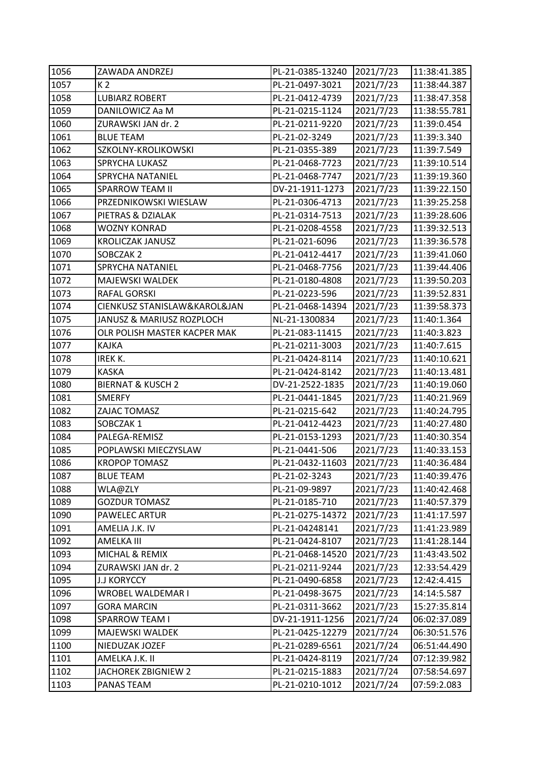| 1056 | ZAWADA ANDRZEJ               | PL-21-0385-13240 | 2021/7/23 | 11:38:41.385 |
|------|------------------------------|------------------|-----------|--------------|
| 1057 | K 2                          | PL-21-0497-3021  | 2021/7/23 | 11:38:44.387 |
| 1058 | <b>LUBIARZ ROBERT</b>        | PL-21-0412-4739  | 2021/7/23 | 11:38:47.358 |
| 1059 | DANILOWICZ Aa M              | PL-21-0215-1124  | 2021/7/23 | 11:38:55.781 |
| 1060 | ZURAWSKI JAN dr. 2           | PL-21-0211-9220  | 2021/7/23 | 11:39:0.454  |
| 1061 | <b>BLUE TEAM</b>             | PL-21-02-3249    | 2021/7/23 | 11:39:3.340  |
| 1062 | SZKOLNY-KROLIKOWSKI          | PL-21-0355-389   | 2021/7/23 | 11:39:7.549  |
| 1063 | SPRYCHA LUKASZ               | PL-21-0468-7723  | 2021/7/23 | 11:39:10.514 |
| 1064 | SPRYCHA NATANIEL             | PL-21-0468-7747  | 2021/7/23 | 11:39:19.360 |
| 1065 | <b>SPARROW TEAM II</b>       | DV-21-1911-1273  | 2021/7/23 | 11:39:22.150 |
| 1066 | PRZEDNIKOWSKI WIESLAW        | PL-21-0306-4713  | 2021/7/23 | 11:39:25.258 |
| 1067 | PIETRAS & DZIALAK            | PL-21-0314-7513  | 2021/7/23 | 11:39:28.606 |
| 1068 | WOZNY KONRAD                 | PL-21-0208-4558  | 2021/7/23 | 11:39:32.513 |
| 1069 | <b>KROLICZAK JANUSZ</b>      | PL-21-021-6096   | 2021/7/23 | 11:39:36.578 |
| 1070 | SOBCZAK 2                    | PL-21-0412-4417  | 2021/7/23 | 11:39:41.060 |
| 1071 | SPRYCHA NATANIEL             | PL-21-0468-7756  | 2021/7/23 | 11:39:44.406 |
| 1072 | MAJEWSKI WALDEK              | PL-21-0180-4808  | 2021/7/23 | 11:39:50.203 |
| 1073 | RAFAL GORSKI                 | PL-21-0223-596   | 2021/7/23 | 11:39:52.831 |
| 1074 | CIENKUSZ STANISLAW&KAROL&JAN | PL-21-0468-14394 | 2021/7/23 | 11:39:58.373 |
| 1075 | JANUSZ & MARIUSZ ROZPLOCH    | NL-21-1300834    | 2021/7/23 | 11:40:1.364  |
| 1076 | OLR POLISH MASTER KACPER MAK | PL-21-083-11415  | 2021/7/23 | 11:40:3.823  |
| 1077 | <b>KAJKA</b>                 | PL-21-0211-3003  | 2021/7/23 | 11:40:7.615  |
| 1078 | IREK K.                      | PL-21-0424-8114  | 2021/7/23 | 11:40:10.621 |
| 1079 | <b>KASKA</b>                 | PL-21-0424-8142  | 2021/7/23 | 11:40:13.481 |
| 1080 | <b>BIERNAT &amp; KUSCH 2</b> | DV-21-2522-1835  | 2021/7/23 | 11:40:19.060 |
| 1081 | <b>SMERFY</b>                | PL-21-0441-1845  | 2021/7/23 | 11:40:21.969 |
| 1082 | ZAJAC TOMASZ                 | PL-21-0215-642   | 2021/7/23 | 11:40:24.795 |
| 1083 | SOBCZAK1                     | PL-21-0412-4423  | 2021/7/23 | 11:40:27.480 |
| 1084 | PALEGA-REMISZ                | PL-21-0153-1293  | 2021/7/23 | 11:40:30.354 |
| 1085 | POPLAWSKI MIECZYSLAW         | PL-21-0441-506   | 2021/7/23 | 11:40:33.153 |
| 1086 | <b>KROPOP TOMASZ</b>         | PL-21-0432-11603 | 2021/7/23 | 11:40:36.484 |
| 1087 | <b>BLUE TEAM</b>             | PL-21-02-3243    | 2021/7/23 | 11:40:39.476 |
| 1088 | WLA@ZLY                      | PL-21-09-9897    | 2021/7/23 | 11:40:42.468 |
| 1089 | <b>GOZDUR TOMASZ</b>         | PL-21-0185-710   | 2021/7/23 | 11:40:57.379 |
| 1090 | PAWELEC ARTUR                | PL-21-0275-14372 | 2021/7/23 | 11:41:17.597 |
| 1091 | AMELIA J.K. IV               | PL-21-04248141   | 2021/7/23 | 11:41:23.989 |
| 1092 | AMELKA III                   | PL-21-0424-8107  | 2021/7/23 | 11:41:28.144 |
| 1093 | MICHAL & REMIX               | PL-21-0468-14520 | 2021/7/23 | 11:43:43.502 |
| 1094 | ZURAWSKI JAN dr. 2           | PL-21-0211-9244  | 2021/7/23 | 12:33:54.429 |
| 1095 | <b>J.J KORYCCY</b>           | PL-21-0490-6858  | 2021/7/23 | 12:42:4.415  |
| 1096 | WROBEL WALDEMAR I            | PL-21-0498-3675  | 2021/7/23 | 14:14:5.587  |
| 1097 | <b>GORA MARCIN</b>           | PL-21-0311-3662  | 2021/7/23 | 15:27:35.814 |
| 1098 | <b>SPARROW TEAM I</b>        | DV-21-1911-1256  | 2021/7/24 | 06:02:37.089 |
| 1099 | MAJEWSKI WALDEK              | PL-21-0425-12279 | 2021/7/24 | 06:30:51.576 |
| 1100 | NIEDUZAK JOZEF               | PL-21-0289-6561  | 2021/7/24 | 06:51:44.490 |
| 1101 | AMELKA J.K. II               | PL-21-0424-8119  | 2021/7/24 | 07:12:39.982 |
| 1102 | JACHOREK ZBIGNIEW 2          | PL-21-0215-1883  | 2021/7/24 | 07:58:54.697 |
| 1103 | PANAS TEAM                   | PL-21-0210-1012  | 2021/7/24 | 07:59:2.083  |